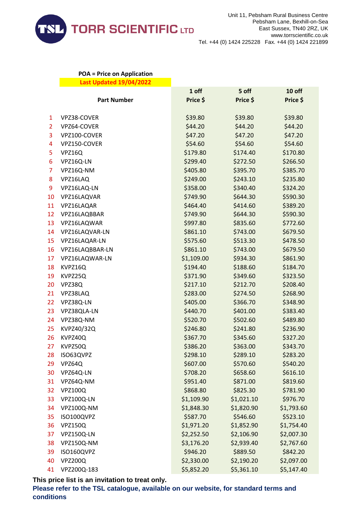

## **POA = Price on Application Last Updated 19/04/2022**

|                |                    | 1 off      | 5 off      | 10 off     |
|----------------|--------------------|------------|------------|------------|
|                | <b>Part Number</b> | Price \$   | Price \$   | Price \$   |
| 1              | VPZ38-COVER        | \$39.80    | \$39.80    | \$39.80    |
| $\overline{2}$ | VPZ64-COVER        | \$44.20    | \$44.20    | \$44.20    |
| 3              | VPZ100-COVER       | \$47.20    | \$47.20    | \$47.20    |
| 4              | VPZ150-COVER       | \$54.60    | \$54.60    | \$54.60    |
| 5              | VPZ16Q             | \$179.80   | \$174.40   | \$170.80   |
| 6              | VPZ16Q-LN          | \$299.40   | \$272.50   | \$266.50   |
| 7              | VPZ16Q-NM          | \$405.80   | \$395.70   | \$385.70   |
| 8              | VPZ16LAQ           | \$249.00   | \$243.10   | \$235.80   |
| 9              | VPZ16LAQ-LN        | \$358.00   | \$340.40   | \$324.20   |
| 10             | VPZ16LAQVAR        | \$749.90   | \$644.30   | \$590.30   |
| 11             | VPZ16LAQAR         | \$464.40   |            |            |
|                |                    |            | \$414.60   | \$389.20   |
| 12             | VPZ16LAQBBAR       | \$749.90   | \$644.30   | \$590.30   |
| 13             | VPZ16LAQWAR        | \$997.80   | \$835.60   | \$772.60   |
| 14             | VPZ16LAQVAR-LN     | \$861.10   | \$743.00   | \$679.50   |
| 15             | VPZ16LAQAR-LN      | \$575.60   | \$513.30   | \$478.50   |
| 16             | VPZ16LAQBBAR-LN    | \$861.10   | \$743.00   | \$679.50   |
| 17             | VPZ16LAQWAR-LN     | \$1,109.00 | \$934.30   | \$861.90   |
| 18             | KVPZ16Q            | \$194.40   | \$188.60   | \$184.70   |
| 19             | KVPZ25Q            | \$371.90   | \$349.60   | \$323.50   |
| 20             | VPZ38Q             | \$217.10   | \$212.70   | \$208.40   |
| 21             | VPZ38LAQ           | \$283.00   | \$274.50   | \$268.90   |
| 22             | VPZ38Q-LN          | \$405.00   | \$366.70   | \$348.90   |
| 23             | VPZ38QLA-LN        | \$440.70   | \$401.00   | \$383.40   |
| 24             | VPZ38Q-NM          | \$520.70   | \$502.60   | \$489.80   |
| 25             | KVPZ40/32Q         | \$246.80   | \$241.80   | \$236.90   |
| 26             | KVPZ40Q            | \$367.70   | \$345.60   | \$327.20   |
| 27             | KVPZ50Q            | \$386.20   | \$363.00   | \$343.70   |
| 28             | ISO63QVPZ          | \$298.10   | \$289.10   | \$283.20   |
| 29             | VPZ64Q             | \$607.00   | \$570.60   | \$540.20   |
| 30             | VPZ64Q-LN          | \$708.20   | \$658.60   | \$616.10   |
| 31             | VPZ64Q-NM          | \$951.40   | \$871.00   | \$819.60   |
| 32             | <b>VPZ100Q</b>     | \$868.80   | \$825.30   | \$781.90   |
| 33             | VPZ100Q-LN         | \$1,109.90 | \$1,021.10 | \$976.70   |
| 34             | VPZ100Q-NM         | \$1,848.30 | \$1,820.90 | \$1,793.60 |
| 35             | ISO100QVPZ         | \$587.70   | \$546.60   | \$523.10   |
| 36             | <b>VPZ150Q</b>     | \$1,971.20 | \$1,852.90 | \$1,754.40 |
| 37             | VPZ150Q-LN         | \$2,252.50 | \$2,106.90 | \$2,007.30 |
| 38             | VPZ150Q-NM         | \$3,176.20 | \$2,939.40 | \$2,767.60 |
| 39             | ISO160QVPZ         | \$946.20   | \$889.50   | \$842.20   |
| 40             | <b>VPZ200Q</b>     | \$2,330.00 | \$2,190.20 | \$2,097.00 |
| 41             | VPZ200Q-183        | \$5,852.20 | \$5,361.10 | \$5,147.40 |

**This price list is an invitation to treat only.**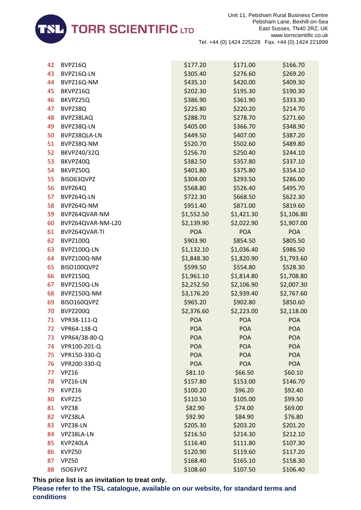

| 42 | BVPZ16Q            | \$177.20   | \$171.00   | \$166.70   |
|----|--------------------|------------|------------|------------|
| 43 | BVPZ16Q-LN         | \$305.40   | \$276.60   | \$269.20   |
| 44 | BVPZ16Q-NM         | \$435.10   | \$420.00   | \$409.30   |
| 45 | BKVPZ16Q           | \$202.30   | \$195.30   | \$190.30   |
| 46 | BKVPZ25Q           | \$386.90   | \$361.90   | \$333.30   |
| 47 | BVPZ38Q            | \$225.80   | \$220.20   | \$214.70   |
| 48 | BVPZ38LAQ          | \$288.70   | \$278.70   | \$271.60   |
| 49 | BVPZ38Q-LN         | \$405.00   | \$366.70   | \$348.90   |
| 50 | BVPZ38QLA-LN       | \$449.50   | \$407.00   | \$387.20   |
| 51 | BVPZ38Q-NM         | \$520.70   | \$502.60   | \$489.80   |
| 52 | <b>BKVPZ40/32Q</b> | \$256.70   | \$250.40   | \$244.10   |
| 53 | BKVPZ40Q           | \$382.50   | \$357.80   | \$337.10   |
| 54 | BKVPZ50Q           | \$401.80   | \$375.80   | \$354.10   |
| 55 | BISO63QVPZ         | \$304.00   | \$293.50   | \$286.00   |
| 56 | BVPZ64Q            | \$568.80   | \$526.40   | \$495.70   |
| 57 | BVPZ64Q-LN         | \$722.30   | \$668.50   | \$622.30   |
| 58 | BVPZ64Q-NM         | \$951.40   | \$871.00   | \$819.60   |
| 59 | BVPZ64QVAR-NM      | \$1,552.50 | \$1,421.30 | \$1,106.80 |
| 60 | BVPZ64QVAR-NM-L20  | \$2,139.90 | \$2,022.90 | \$1,907.00 |
| 61 | BVPZ64QVAR-TI      | <b>POA</b> | <b>POA</b> | <b>POA</b> |
| 62 | BVPZ100Q           | \$903.90   | \$854.50   | \$805.50   |
| 63 | BVPZ100Q-LN        | \$1,132.10 | \$1,036.40 | \$986.50   |
| 64 | BVPZ100Q-NM        | \$1,848.30 | \$1,820.90 | \$1,793.60 |
| 65 | BISO100QVPZ        | \$599.50   | \$554.80   | \$528.30   |
| 66 | BVPZ150Q           | \$1,961.10 | \$1,814.80 | \$1,708.80 |
| 67 | BVPZ150Q-LN        | \$2,252.50 | \$2,106.90 | \$2,007.30 |
| 68 | BVPZ150Q-NM        | \$3,176.20 | \$2,939.40 | \$2,767.60 |
| 69 | BISO160QVPZ        | \$965.20   | \$902.80   | \$850.60   |
| 70 | BVPZ200Q           | \$2,376.60 | \$2,223.00 | \$2,118.00 |
| 71 | VPR38-111-Q        | <b>POA</b> | <b>POA</b> | <b>POA</b> |
| 72 | VPR64-138-Q        | <b>POA</b> | <b>POA</b> | <b>POA</b> |
| 73 | VPR64/38-80-Q      | <b>POA</b> | <b>POA</b> | <b>POA</b> |
| 74 | VPR100-201-Q       | <b>POA</b> | <b>POA</b> | <b>POA</b> |
| 75 | VPR150-330-Q       | <b>POA</b> | <b>POA</b> | <b>POA</b> |
| 76 | VPR200-330-Q       | <b>POA</b> | <b>POA</b> | <b>POA</b> |
| 77 | <b>VPZ16</b>       | \$81.10    | \$66.50    | \$60.10    |
| 78 | VPZ16-LN           | \$157.80   | \$153.00   | \$146.70   |
| 79 | KVPZ16             | \$100.20   | \$96.20    | \$92.40    |
| 80 | KVPZ25             | \$110.50   | \$105.00   | \$99.50    |
| 81 | VPZ38              | \$82.90    | \$74.00    | \$69.00    |
| 82 | VPZ38LA            | \$92.90    | \$84.90    | \$76.80    |
| 83 | VPZ38-LN           | \$205.30   | \$203.20   | \$201.20   |
| 84 | VPZ38LA-LN         | \$216.50   | \$214.30   | \$212.10   |
| 85 | KVPZ40LA           | \$116.40   | \$111.80   | \$107.30   |
| 86 | KVPZ50             | \$120.90   | \$119.60   | \$117.20   |
| 87 | VPZ50              | \$168.40   | \$165.10   | \$158.30   |
| 88 | ISO63VPZ           | \$108.60   | \$107.50   | \$106.40   |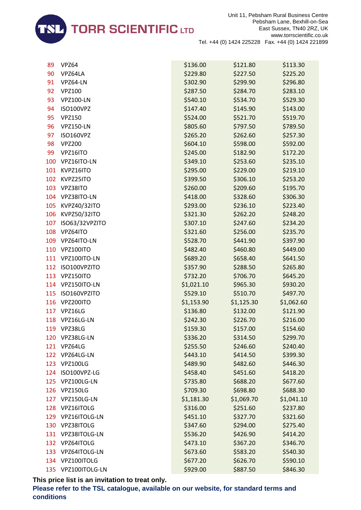

| 89  | <b>VPZ64</b>     | \$136.00   | \$121.80   | \$113.30   |
|-----|------------------|------------|------------|------------|
| 90  | VPZ64LA          | \$229.80   | \$227.50   | \$225.20   |
| 91  | VPZ64-LN         | \$302.90   | \$299.90   | \$296.80   |
| 92  | <b>VPZ100</b>    | \$287.50   | \$284.70   | \$283.10   |
| 93  | <b>VPZ100-LN</b> | \$540.10   | \$534.70   | \$529.30   |
| 94  | ISO100VPZ        | \$147.40   | \$145.90   | \$143.00   |
| 95  | <b>VPZ150</b>    | \$524.00   | \$521.70   | \$519.70   |
| 96  | <b>VPZ150-LN</b> | \$805.60   | \$797.50   | \$789.50   |
| 97  | <b>ISO160VPZ</b> | \$265.20   | \$262.60   | \$257.30   |
| 98  | <b>VPZ200</b>    | \$604.10   | \$598.00   | \$592.00   |
| 99  | VPZ16ITO         | \$245.00   | \$182.90   | \$172.20   |
| 100 | VPZ16ITO-LN      | \$349.10   | \$253.60   | \$235.10   |
| 101 | KVPZ16ITO        | \$295.00   | \$229.00   | \$219.10   |
| 102 | KVPZ25ITO        | \$399.50   | \$306.10   | \$253.20   |
| 103 | VPZ38ITO         | \$260.00   | \$209.60   | \$195.70   |
| 104 | VPZ38ITO-LN      | \$418.00   | \$328.60   | \$306.30   |
| 105 | KVPZ40/32ITO     | \$293.00   | \$236.10   | \$223.40   |
| 106 | KVPZ50/32ITO     | \$321.30   | \$262.20   | \$248.20   |
| 107 | ISO63/32VPZITO   | \$307.10   | \$247.60   | \$234.20   |
| 108 | VPZ64ITO         | \$321.60   | \$256.00   | \$235.70   |
| 109 | VPZ64ITO-LN      | \$528.70   | \$441.90   | \$397.90   |
| 110 | VPZ100ITO        | \$482.40   | \$460.80   | \$449.00   |
| 111 | VPZ100ITO-LN     | \$689.20   | \$658.40   | \$641.50   |
| 112 | ISO100VPZITO     | \$357.90   | \$288.50   | \$265.80   |
| 113 | VPZ150ITO        | \$732.20   | \$706.70   | \$645.20   |
| 114 | VPZ150ITO-LN     | \$1,021.10 | \$965.30   | \$930.20   |
| 115 | ISO160VPZITO     | \$529.10   | \$510.70   | \$497.70   |
| 116 | VPZ200ITO        | \$1,153.90 | \$1,125.30 | \$1,062.60 |
| 117 | VPZ16LG          | \$136.80   | \$132.00   | \$121.90   |
| 118 | VPZ16LG-LN       | \$242.30   | \$226.70   | \$216.00   |
| 119 | VPZ38LG          | \$159.30   | \$157.00   | \$154.60   |
| 120 | VPZ38LG-LN       | \$336.20   | \$314.50   | \$299.70   |
| 121 | VPZ64LG          | \$255.50   | \$246.60   | \$240.40   |
|     | 122 VPZ64LG-LN   | \$443.10   | \$414.50   | \$399.30   |
| 123 | <b>VPZ100LG</b>  | \$489.90   | \$482.60   | \$446.30   |
| 124 | ISO100VPZ-LG     | \$458.40   | \$451.60   | \$418.20   |
| 125 | VPZ100LG-LN      | \$735.80   | \$688.20   | \$677.60   |
| 126 | <b>VPZ150LG</b>  | \$709.30   | \$698.80   | \$688.30   |
| 127 | VPZ150LG-LN      | \$1,181.30 | \$1,069.70 | \$1,041.10 |
| 128 | VPZ16ITOLG       | \$316.00   | \$251.60   | \$237.80   |
| 129 | VPZ16ITOLG-LN    | \$451.10   | \$327.70   | \$321.60   |
| 130 | VPZ38ITOLG       | \$347.60   | \$294.00   | \$275.40   |
| 131 | VPZ38ITOLG-LN    | \$536.20   | \$426.90   | \$414.20   |
| 132 | VPZ64ITOLG       | \$473.10   | \$367.20   | \$346.70   |
| 133 | VPZ64ITOLG-LN    | \$673.60   | \$583.20   | \$540.30   |
| 134 | VPZ100ITOLG      | \$677.20   | \$626.70   | \$590.10   |
| 135 | VPZ100ITOLG-LN   | \$929.00   | \$887.50   | \$846.30   |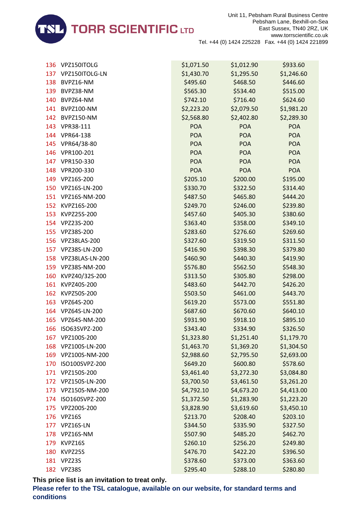

| 136 | VPZ150ITOLG        | \$1,071.50 | \$1,012.90 | \$933.60   |
|-----|--------------------|------------|------------|------------|
|     | 137 VPZ150ITOLG-LN | \$1,430.70 | \$1,295.50 | \$1,246.60 |
| 138 | BVPZ16-NM          | \$495.60   | \$468.50   | \$446.60   |
| 139 | BVPZ38-NM          | \$565.30   | \$534.40   | \$515.00   |
| 140 | BVPZ64-NM          | \$742.10   | \$716.40   | \$624.60   |
| 141 | BVPZ100-NM         | \$2,223.20 | \$2,079.50 | \$1,981.20 |
| 142 | BVPZ150-NM         | \$2,568.80 | \$2,402.80 | \$2,289.30 |
| 143 | VPR38-111          | <b>POA</b> | <b>POA</b> | <b>POA</b> |
| 144 | VPR64-138          | <b>POA</b> | <b>POA</b> | <b>POA</b> |
| 145 | VPR64/38-80        | <b>POA</b> | <b>POA</b> | <b>POA</b> |
| 146 | VPR100-201         | <b>POA</b> | <b>POA</b> | <b>POA</b> |
| 147 | VPR150-330         | <b>POA</b> | <b>POA</b> | <b>POA</b> |
| 148 | VPR200-330         | <b>POA</b> | <b>POA</b> | POA        |
| 149 | VPZ16S-200         | \$205.10   | \$200.00   | \$195.00   |
| 150 | VPZ16S-LN-200      | \$330.70   | \$322.50   | \$314.40   |
|     | 151 VPZ16S-NM-200  | \$487.50   | \$465.80   | \$444.20   |
| 152 | KVPZ16S-200        | \$249.70   | \$246.00   | \$239.80   |
| 153 | KVPZ25S-200        | \$457.60   | \$405.30   | \$380.60   |
| 154 | VPZ23S-200         | \$363.40   | \$358.00   | \$349.10   |
| 155 | VPZ38S-200         | \$283.60   | \$276.60   | \$269.60   |
| 156 | VPZ38LAS-200       | \$327.60   | \$319.50   | \$311.50   |
| 157 | VPZ38S-LN-200      | \$416.90   | \$398.30   | \$379.80   |
| 158 | VPZ38LAS-LN-200    | \$460.90   | \$440.30   | \$419.90   |
| 159 | VPZ38S-NM-200      | \$576.80   | \$562.50   | \$548.30   |
| 160 | KVPZ40/32S-200     | \$313.50   | \$305.80   | \$298.00   |
| 161 | KVPZ40S-200        | \$483.60   | \$442.70   | \$426.20   |
| 162 | KVPZ50S-200        | \$503.50   | \$461.00   | \$443.70   |
| 163 | VPZ64S-200         | \$619.20   | \$573.00   | \$551.80   |
| 164 | VPZ64S-LN-200      | \$687.60   | \$670.60   | \$640.10   |
| 165 | VPZ64S-NM-200      | \$931.90   | \$918.10   | \$895.10   |
| 166 | ISO63SVPZ-200      | \$343.40   | \$334.90   | \$326.50   |
| 167 | VPZ100S-200        | \$1,323.80 | \$1,251.40 | \$1,179.70 |
| 168 | VPZ100S-LN-200     | \$1,463.70 | \$1,369.20 | \$1,304.50 |
| 169 | VPZ100S-NM-200     | \$2,988.60 | \$2,795.50 | \$2,693.00 |
| 170 | ISO100SVPZ-200     | \$649.20   | \$600.80   | \$578.60   |
| 171 | VPZ150S-200        | \$3,461.40 | \$3,272.30 | \$3,084.80 |
| 172 | VPZ150S-LN-200     | \$3,700.50 | \$3,461.50 | \$3,261.20 |
| 173 | VPZ150S-NM-200     | \$4,792.10 | \$4,673.20 | \$4,413.00 |
| 174 | ISO160SVPZ-200     | \$1,372.50 | \$1,283.90 | \$1,223.20 |
| 175 | VPZ200S-200        | \$3,828.90 | \$3,619.60 | \$3,450.10 |
| 176 | <b>VPZ16S</b>      | \$213.70   | \$208.40   | \$203.10   |
| 177 | VPZ16S-LN          | \$344.50   | \$335.90   | \$327.50   |
| 178 | VPZ16S-NM          | \$507.90   | \$485.20   | \$462.70   |
| 179 | KVPZ16S            | \$260.10   | \$256.20   | \$249.80   |
| 180 | KVPZ25S            | \$476.70   | \$422.20   | \$396.50   |
| 181 | VPZ23S             | \$378.60   | \$373.00   | \$363.60   |
| 182 | VPZ38S             | \$295.40   | \$288.10   | \$280.80   |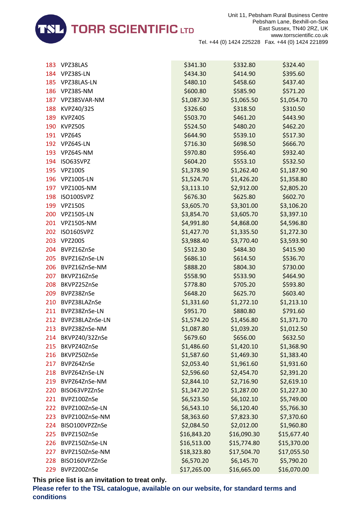

| 183 | VPZ38LAS          | \$341.30    | \$332.80    | \$324.40    |
|-----|-------------------|-------------|-------------|-------------|
| 184 | VPZ38S-LN         | \$434.30    | \$414.90    | \$395.60    |
| 185 | VPZ38LAS-LN       | \$480.10    | \$458.60    | \$437.40    |
| 186 | VPZ38S-NM         | \$600.80    | \$585.90    | \$571.20    |
| 187 | VPZ38SVAR-NM      | \$1,087.30  | \$1,065.50  | \$1,054.70  |
| 188 | KVPZ40/32S        | \$326.60    | \$318.50    | \$310.50    |
| 189 | KVPZ40S           | \$503.70    | \$461.20    | \$443.90    |
| 190 | KVPZ50S           | \$524.50    | \$480.20    | \$462.20    |
| 191 | VPZ64S            | \$644.90    | \$539.10    | \$517.30    |
| 192 | VPZ64S-LN         | \$716.30    | \$698.50    | \$666.70    |
| 193 | VPZ64S-NM         | \$970.80    | \$956.40    | \$932.40    |
| 194 | ISO63SVPZ         | \$604.20    | \$553.10    | \$532.50    |
| 195 | <b>VPZ100S</b>    | \$1,378.90  | \$1,262.40  | \$1,187.90  |
| 196 | <b>VPZ100S-LN</b> | \$1,524.70  | \$1,426.20  | \$1,358.80  |
| 197 | VPZ100S-NM        | \$3,113.10  | \$2,912.00  | \$2,805.20  |
| 198 | ISO100SVPZ        | \$676.30    | \$625.80    | \$602.70    |
| 199 | <b>VPZ150S</b>    | \$3,605.70  | \$3,301.00  | \$3,106.20  |
| 200 | <b>VPZ150S-LN</b> | \$3,854.70  | \$3,605.70  | \$3,397.10  |
| 201 | VPZ150S-NM        | \$4,991.80  | \$4,868.00  | \$4,596.80  |
| 202 | ISO160SVPZ        | \$1,427.70  | \$1,335.50  | \$1,272.30  |
| 203 | <b>VPZ200S</b>    | \$3,988.40  | \$3,770.40  | \$3,593.90  |
| 204 | BVPZ16ZnSe        | \$512.30    | \$484.30    | \$415.90    |
| 205 | BVPZ16ZnSe-LN     | \$686.10    | \$614.50    | \$536.70    |
| 206 | BVPZ16ZnSe-NM     | \$888.20    | \$804.30    | \$730.00    |
| 207 | BKVPZ16ZnSe       | \$558.90    | \$533.90    | \$464.90    |
| 208 | BKVPZ25ZnSe       | \$778.80    | \$705.20    | \$593.80    |
| 209 | BVPZ38ZnSe        | \$648.20    | \$625.70    | \$603.40    |
| 210 | BVPZ38LAZnSe      | \$1,331.60  | \$1,272.10  | \$1,213.10  |
| 211 | BVPZ38ZnSe-LN     | \$951.70    | \$880.80    | \$791.60    |
| 212 | BVPZ38LAZnSe-LN   | \$1,574.20  | \$1,456.80  | \$1,371.70  |
| 213 | BVPZ38ZnSe-NM     | \$1,087.80  | \$1,039.20  | \$1,012.50  |
| 214 | BKVPZ40/32ZnSe    | \$679.60    | \$656.00    | \$632.50    |
| 215 | BKVPZ40ZnSe       | \$1,486.60  | \$1,420.10  | \$1,368.90  |
| 216 | BKVPZ50ZnSe       | \$1,587.60  | \$1,469.30  | \$1,383.40  |
| 217 | BVPZ64ZnSe        | \$2,053.40  | \$1,961.60  | \$1,931.60  |
| 218 | BVPZ64ZnSe-LN     | \$2,596.60  | \$2,454.70  | \$2,391.20  |
| 219 | BVPZ64ZnSe-NM     | \$2,844.10  | \$2,716.90  | \$2,619.10  |
| 220 | BISO63VPZZnSe     | \$1,347.20  | \$1,287.00  | \$1,227.30  |
| 221 | BVPZ100ZnSe       | \$6,523.50  | \$6,102.10  | \$5,749.00  |
| 222 | BVPZ100ZnSe-LN    | \$6,543.10  | \$6,120.40  | \$5,766.30  |
| 223 | BVPZ100ZnSe-NM    | \$8,363.60  | \$7,823.30  | \$7,370.60  |
| 224 | BISO100VPZZnSe    | \$2,084.50  | \$2,012.00  | \$1,960.80  |
| 225 | BVPZ150ZnSe       | \$16,843.20 | \$16,090.30 | \$15,677.40 |
| 226 | BVPZ150ZnSe-LN    | \$16,513.00 | \$15,774.80 | \$15,370.00 |
| 227 | BVPZ150ZnSe-NM    | \$18,323.80 | \$17,504.70 | \$17,055.50 |
| 228 | BISO160VPZZnSe    | \$6,570.20  | \$6,145.70  | \$5,790.20  |
| 229 | BVPZ200ZnSe       | \$17,265.00 | \$16,665.00 | \$16,070.00 |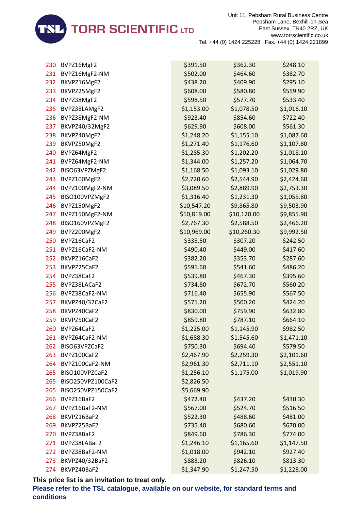

| 230 | BVPZ16MgF2        | \$391.50    | \$362.30    | \$248.10   |
|-----|-------------------|-------------|-------------|------------|
| 231 | BVPZ16MgF2-NM     | \$502.00    | \$464.60    | \$382.70   |
| 232 | BKVPZ16MgF2       | \$438.20    | \$409.90    | \$295.10   |
| 233 | BKVPZ25MgF2       | \$608.00    | \$580.80    | \$559.90   |
| 234 | BVPZ38MgF2        | \$598.50    | \$577.70    | \$533.40   |
| 235 | BVPZ38LAMgF2      | \$1,153.00  | \$1,078.50  | \$1,016.10 |
| 236 | BVPZ38MgF2-NM     | \$923.40    | \$854.60    | \$722.40   |
| 237 | BKVPZ40/32MgF2    | \$629.90    | \$608.00    | \$561.30   |
| 238 | BKVPZ40MgF2       | \$1,248.20  | \$1,155.10  | \$1,087.60 |
| 239 | BKVPZ50MgF2       | \$1,271.40  | \$1,176.60  | \$1,107.80 |
| 240 | BVPZ64MgF2        | \$1,285.30  | \$1,202.20  | \$1,018.10 |
| 241 | BVPZ64MgF2-NM     | \$1,344.00  | \$1,257.20  | \$1,064.70 |
| 242 | BISO63VPZMgF2     | \$1,168.50  | \$1,093.10  | \$1,029.80 |
| 243 | BVPZ100MgF2       | \$2,720.60  | \$2,544.90  | \$2,424.60 |
| 244 | BVPZ100MgF2-NM    | \$3,089.50  | \$2,889.90  | \$2,753.30 |
| 245 | BISO100VPZMgF2    | \$1,316.40  | \$1,231.30  | \$1,055.80 |
| 246 | BVPZ150MgF2       | \$10,547.20 | \$9,865.80  | \$9,503.90 |
| 247 | BVPZ150MgF2-NM    | \$10,819.00 | \$10,120.00 | \$9,855.90 |
| 248 | BISO160VPZMgF2    | \$2,767.30  | \$2,588.50  | \$2,466.20 |
| 249 | BVPZ200MgF2       | \$10,969.00 | \$10,260.30 | \$9,992.50 |
| 250 | BVPZ16CaF2        | \$335.50    | \$307.20    | \$242.50   |
| 251 | BVPZ16CaF2-NM     | \$490.40    | \$449.00    | \$417.60   |
| 252 | BKVPZ16CaF2       | \$382.20    | \$353.70    | \$287.60   |
| 253 | BKVPZ25CaF2       | \$591.60    | \$541.60    | \$486.20   |
| 254 | BVPZ38CaF2        | \$539.80    | \$467.30    | \$395.60   |
| 255 | BVPZ38LACaF2      | \$734.80    | \$672.70    | \$560.20   |
| 256 | BVPZ38CaF2-NM     | \$716.40    | \$655.90    | \$567.50   |
| 257 | BKVPZ40/32CaF2    | \$571.20    | \$500.20    | \$424.20   |
| 258 | BKVPZ40CaF2       | \$830.00    | \$759.90    | \$632.80   |
| 259 | BKVPZ50CaF2       | \$859.80    | \$787.10    | \$664.10   |
| 260 | BVPZ64CaF2        | \$1,225.00  | \$1,145.90  | \$982.50   |
| 261 | BVPZ64CaF2-NM     | \$1,688.30  | \$1,545.60  | \$1,471.10 |
| 262 | BISO63VPZCaF2     | \$750.30    | \$694.40    | \$579.50   |
| 263 | BVPZ100CaF2       | \$2,467.90  | \$2,259.30  | \$2,101.60 |
| 264 | BVPZ100CaF2-NM    | \$2,961.30  | \$2,711.10  | \$2,551.10 |
| 265 | BISO100VPZCaF2    | \$1,256.10  | \$1,175.00  | \$1,019.90 |
| 265 | BISO250VPZ100CaF2 | \$2,826.50  |             |            |
| 265 | BISO250VPZ150CaF2 | \$5,669.90  |             |            |
| 266 | BVPZ16BaF2        | \$472.40    | \$437.20    | \$430.30   |
| 267 | BVPZ16BaF2-NM     | \$567.00    | \$524.70    | \$516.50   |
| 268 | BKVPZ16BaF2       | \$522.30    | \$488.60    | \$481.00   |
| 269 | BKVPZ25BaF2       | \$735.40    | \$680.60    | \$670.00   |
| 270 | BVPZ38BaF2        | \$849.60    | \$786.30    | \$774.00   |
| 271 | BVPZ38LABaF2      | \$1,246.10  | \$1,165.60  | \$1,147.50 |
| 272 | BVPZ38BaF2-NM     | \$1,018.00  | \$942.10    | \$927.40   |
| 273 | BKVPZ40/32BaF2    | \$883.20    | \$826.10    | \$813.30   |
| 274 | BKVPZ40BaF2       | \$1,347.90  | \$1,247.50  | \$1,228.00 |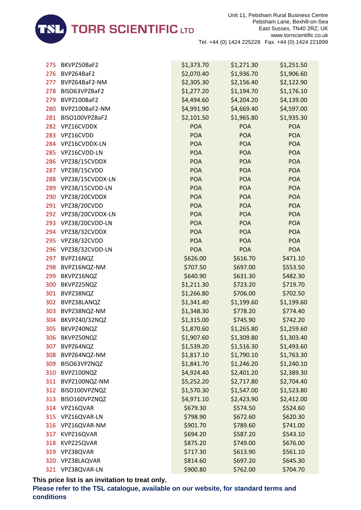

| 275 | BKVPZ50BaF2          | \$1,373.70 | \$1,271.30 | \$1,251.50 |
|-----|----------------------|------------|------------|------------|
| 276 | BVPZ64BaF2           | \$2,070.40 | \$1,936.70 | \$1,906.60 |
| 277 | BVPZ64BaF2-NM        | \$2,305.30 | \$2,156.40 | \$2,122.90 |
| 278 | BISO63VPZBaF2        | \$1,277.20 | \$1,194.70 | \$1,176.10 |
| 279 | BVPZ100BaF2          | \$4,494.60 | \$4,204.20 | \$4,139.00 |
| 280 | BVPZ100BaF2-NM       | \$4,991.90 | \$4,669.40 | \$4,597.00 |
| 281 | BISO100VPZBaF2       | \$2,101.50 | \$1,965.80 | \$1,935.30 |
| 282 | VPZ16CVDDX           | <b>POA</b> | POA        | <b>POA</b> |
| 283 | VPZ16CVDD            | <b>POA</b> | <b>POA</b> | <b>POA</b> |
| 284 | VPZ16CVDDX-LN        | <b>POA</b> | <b>POA</b> | <b>POA</b> |
| 285 | VPZ16CVDD-LN         | <b>POA</b> | <b>POA</b> | <b>POA</b> |
| 286 | VPZ38/15CVDDX        | <b>POA</b> | <b>POA</b> | <b>POA</b> |
| 287 | VPZ38/15CVDD         | <b>POA</b> | <b>POA</b> | <b>POA</b> |
| 288 | VPZ38/15CVDDX-LN     | POA        | <b>POA</b> | <b>POA</b> |
| 289 | VPZ38/15CVDD-LN      | <b>POA</b> | <b>POA</b> | <b>POA</b> |
| 290 | VPZ38/20CVDDX        | <b>POA</b> | <b>POA</b> | <b>POA</b> |
| 291 | VPZ38/20CVDD         | POA        | <b>POA</b> | <b>POA</b> |
|     | 292 VPZ38/20CVDDX-LN | <b>POA</b> | POA        | <b>POA</b> |
| 293 | VPZ38/20CVDD-LN      | <b>POA</b> | <b>POA</b> | <b>POA</b> |
| 294 | VPZ38/32CVDDX        | <b>POA</b> | POA        | <b>POA</b> |
| 295 | VPZ38/32CVDD         | <b>POA</b> | <b>POA</b> | <b>POA</b> |
| 296 | VPZ38/32CVDD-LN      | <b>POA</b> | <b>POA</b> | <b>POA</b> |
| 297 | BVPZ16NQZ            | \$626.00   | \$616.70   | \$471.10   |
| 298 | BVPZ16NQZ-NM         | \$707.50   | \$697.00   | \$553.50   |
| 299 | BKVPZ16NQZ           | \$640.90   | \$631.30   | \$482.30   |
| 300 | BKVPZ25NQZ           | \$1,211.30 | \$723.20   | \$719.70   |
| 301 | BVPZ38NQZ            | \$1,266.80 | \$706.00   | \$702.50   |
| 302 | BVPZ38LANQZ          | \$1,341.40 | \$1,199.60 | \$1,199.60 |
| 303 | BVPZ38NQZ-NM         | \$1,348.30 | \$778.20   | \$774.40   |
| 304 | BKVPZ40/32NQZ        | \$1,315.00 | \$745.90   | \$742.20   |
| 305 | BKVPZ40NQZ           | \$1,870.60 | \$1,265.80 | \$1,259.60 |
| 306 | BKVPZ50NQZ           | \$1,907.60 | \$1,309.80 | \$1,303.40 |
| 307 | BVPZ64NQZ            | \$1,539.20 | \$1,516.30 | \$1,493.60 |
| 308 | BVPZ64NQZ-NM         | \$1,817.10 | \$1,790.10 | \$1,763.30 |
| 309 | BISO63VPZNQZ         | \$1,841.70 | \$1,246.20 | \$1,240.10 |
| 310 | BVPZ100NQZ           | \$4,924.40 | \$2,401.20 | \$2,389.30 |
| 311 | BVPZ100NQZ-NM        | \$5,252.20 | \$2,717.80 | \$2,704.40 |
| 312 | BISO100VPZNQZ        | \$1,570.30 | \$1,547.00 | \$1,523.80 |
| 313 | BISO160VPZNQZ        | \$4,971.10 | \$2,423.90 | \$2,412.00 |
| 314 | VPZ16QVAR            | \$679.30   | \$574.50   | \$524.60   |
| 315 | VPZ16QVAR-LN         | \$798.90   | \$672.60   | \$620.30   |
| 316 | VPZ16QVAR-NM         | \$901.70   | \$789.60   | \$741.00   |
| 317 | KVPZ16QVAR           | \$694.20   | \$587.20   | \$543.10   |
| 318 | KVPZ25QVAR           | \$875.20   | \$749.00   | \$676.00   |
| 319 | VPZ38QVAR            | \$717.30   | \$613.90   | \$561.10   |
| 320 | VPZ38LAQVAR          | \$814.60   | \$697.20   | \$645.30   |
|     | 321 VPZ38QVAR-LN     | \$900.80   | \$762.00   | \$704.70   |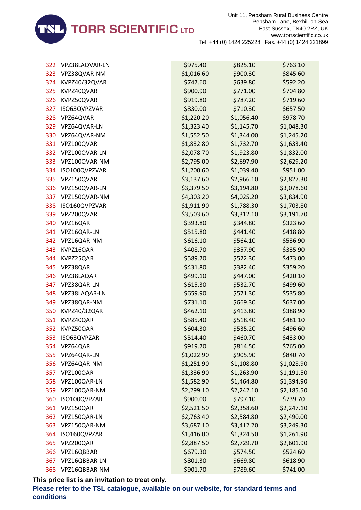

| 322 | VPZ38LAQVAR-LN | \$975.40   | \$825.10   | \$763.10   |
|-----|----------------|------------|------------|------------|
| 323 | VPZ38QVAR-NM   | \$1,016.60 | \$900.30   | \$845.60   |
| 324 | KVPZ40/32QVAR  | \$747.60   | \$639.80   | \$592.20   |
| 325 | KVPZ40QVAR     | \$900.90   | \$771.00   | \$704.80   |
| 326 | KVPZ50QVAR     | \$919.80   | \$787.20   | \$719.60   |
| 327 | ISO63QVPZVAR   | \$830.00   | \$710.30   | \$657.50   |
| 328 | VPZ64QVAR      | \$1,220.20 | \$1,056.40 | \$978.70   |
| 329 | VPZ64QVAR-LN   | \$1,323.40 | \$1,145.70 | \$1,048.30 |
| 330 | VPZ64QVAR-NM   | \$1,552.50 | \$1,344.00 | \$1,245.20 |
| 331 | VPZ100QVAR     | \$1,832.80 | \$1,732.70 | \$1,633.40 |
| 332 | VPZ100QVAR-LN  | \$2,078.70 | \$1,923.80 | \$1,832.00 |
| 333 | VPZ100QVAR-NM  | \$2,795.00 | \$2,697.90 | \$2,629.20 |
| 334 | ISO100QVPZVAR  | \$1,200.60 | \$1,039.40 | \$951.00   |
| 335 | VPZ150QVAR     | \$3,137.60 | \$2,966.10 | \$2,827.30 |
| 336 | VPZ150QVAR-LN  | \$3,379.50 | \$3,194.80 | \$3,078.60 |
| 337 | VPZ150QVAR-NM  | \$4,303.20 | \$4,025.20 | \$3,834.90 |
| 338 | ISO160QVPZVAR  | \$1,911.90 | \$1,788.30 | \$1,703.80 |
| 339 | VPZ200QVAR     | \$3,503.60 | \$3,312.10 | \$3,191.70 |
| 340 | VPZ16QAR       | \$393.80   | \$344.80   | \$323.60   |
| 341 | VPZ16QAR-LN    | \$515.80   | \$441.40   | \$418.80   |
| 342 | VPZ16QAR-NM    | \$616.10   | \$564.10   | \$536.90   |
| 343 | KVPZ16QAR      | \$408.70   | \$357.90   | \$335.90   |
| 344 | KVPZ25QAR      | \$589.70   | \$522.30   | \$473.00   |
| 345 | VPZ38QAR       | \$431.80   | \$382.40   | \$359.20   |
| 346 | VPZ38LAQAR     | \$499.10   | \$447.00   | \$420.10   |
| 347 | VPZ38QAR-LN    | \$615.30   | \$532.70   | \$499.60   |
| 348 | VPZ38LAQAR-LN  | \$659.90   | \$571.30   | \$535.80   |
| 349 | VPZ38QAR-NM    | \$731.10   | \$669.30   | \$637.00   |
| 350 | KVPZ40/32QAR   | \$462.10   | \$413.80   | \$388.90   |
| 351 | KVPZ40QAR      | \$585.40   | \$518.40   | \$481.10   |
| 352 | KVPZ50QAR      | \$604.30   | \$535.20   | \$496.60   |
| 353 | ISO63QVPZAR    | \$514.40   | \$460.70   | \$433.00   |
| 354 | VPZ64QAR       | \$919.70   | \$814.50   | \$765.00   |
| 355 | VPZ64QAR-LN    | \$1,022.90 | \$905.90   | \$840.70   |
| 356 | VPZ64QAR-NM    | \$1,251.90 | \$1,108.80 | \$1,028.90 |
| 357 | VPZ100QAR      | \$1,336.90 | \$1,263.90 | \$1,191.50 |
| 358 | VPZ100QAR-LN   | \$1,582.90 | \$1,464.80 | \$1,394.90 |
| 359 | VPZ100QAR-NM   | \$2,299.10 | \$2,242.10 | \$2,185.50 |
| 360 | ISO100QVPZAR   | \$900.00   | \$797.10   | \$739.70   |
| 361 | VPZ150QAR      | \$2,521.50 | \$2,358.60 | \$2,247.10 |
| 362 | VPZ150QAR-LN   | \$2,763.40 | \$2,584.80 | \$2,490.00 |
| 363 | VPZ150QAR-NM   | \$3,687.10 | \$3,412.20 | \$3,249.30 |
| 364 | ISO160QVPZAR   | \$1,416.00 | \$1,324.50 | \$1,261.90 |
| 365 | VPZ200QAR      | \$2,887.50 | \$2,729.70 | \$2,601.90 |
| 366 | VPZ16QBBAR     | \$679.30   | \$574.50   | \$524.60   |
| 367 | VPZ16QBBAR-LN  | \$801.30   | \$669.80   | \$618.90   |
| 368 | VPZ16QBBAR-NM  | \$901.70   | \$789.60   | \$741.00   |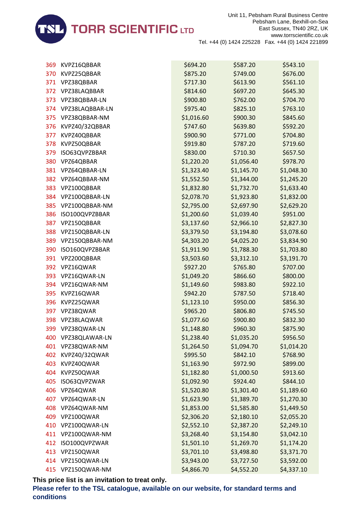

| 369 | KVPZ16QBBAR       | \$694.20   | \$587.20   | \$543.10   |
|-----|-------------------|------------|------------|------------|
| 370 | KVPZ25QBBAR       | \$875.20   | \$749.00   | \$676.00   |
| 371 | VPZ38QBBAR        | \$717.30   | \$613.90   | \$561.10   |
| 372 | VPZ38LAQBBAR      | \$814.60   | \$697.20   | \$645.30   |
| 373 | VPZ38QBBAR-LN     | \$900.80   | \$762.00   | \$704.70   |
| 374 | VPZ38LAQBBAR-LN   | \$975.40   | \$825.10   | \$763.10   |
| 375 | VPZ38QBBAR-NM     | \$1,016.60 | \$900.30   | \$845.60   |
| 376 | KVPZ40/32QBBAR    | \$747.60   | \$639.80   | \$592.20   |
| 377 | KVPZ40QBBAR       | \$900.90   | \$771.00   | \$704.80   |
| 378 | KVPZ50QBBAR       | \$919.80   | \$787.20   | \$719.60   |
| 379 | ISO63QVPZBBAR     | \$830.00   | \$710.30   | \$657.50   |
| 380 | VPZ64QBBAR        | \$1,220.20 | \$1,056.40 | \$978.70   |
| 381 | VPZ64QBBAR-LN     | \$1,323.40 | \$1,145.70 | \$1,048.30 |
| 382 | VPZ64QBBAR-NM     | \$1,552.50 | \$1,344.00 | \$1,245.20 |
| 383 | VPZ100QBBAR       | \$1,832.80 | \$1,732.70 | \$1,633.40 |
| 384 | VPZ100QBBAR-LN    | \$2,078.70 | \$1,923.80 | \$1,832.00 |
| 385 | VPZ100QBBAR-NM    | \$2,795.00 | \$2,697.90 | \$2,629.20 |
| 386 | ISO100QVPZBBAR    | \$1,200.60 | \$1,039.40 | \$951.00   |
| 387 | VPZ150QBBAR       | \$3,137.60 | \$2,966.10 | \$2,827.30 |
| 388 | VPZ150QBBAR-LN    | \$3,379.50 | \$3,194.80 | \$3,078.60 |
| 389 | VPZ150QBBAR-NM    | \$4,303.20 | \$4,025.20 | \$3,834.90 |
| 390 | ISO160QVPZBBAR    | \$1,911.90 | \$1,788.30 | \$1,703.80 |
| 391 | VPZ200QBBAR       | \$3,503.60 | \$3,312.10 | \$3,191.70 |
| 392 | VPZ16QWAR         | \$927.20   | \$765.80   | \$707.00   |
| 393 | VPZ16QWAR-LN      | \$1,049.20 | \$866.60   | \$800.00   |
| 394 | VPZ16QWAR-NM      | \$1,149.60 | \$983.80   | \$922.10   |
| 395 | KVPZ16QWAR        | \$942.20   | \$787.50   | \$718.40   |
| 396 | KVPZ25QWAR        | \$1,123.10 | \$950.00   | \$856.30   |
| 397 | VPZ38QWAR         | \$965.20   | \$806.80   | \$745.50   |
| 398 | VPZ38LAQWAR       | \$1,077.60 | \$900.80   | \$832.30   |
| 399 | VPZ38QWAR-LN      | \$1,148.80 | \$960.30   | \$875.90   |
| 400 | VPZ38QLAWAR-LN    | \$1,238.40 | \$1,035.20 | \$956.50   |
| 401 | VPZ38QWAR-NM      | \$1,264.50 | \$1,094.70 | \$1,014.20 |
| 402 | KVPZ40/32QWAR     | \$995.50   | \$842.10   | \$768.90   |
| 403 | KVPZ40QWAR        | \$1,163.90 | \$972.90   | \$899.00   |
| 404 | KVPZ50QWAR        | \$1,182.80 | \$1,000.50 | \$913.60   |
| 405 | ISO63QVPZWAR      | \$1,092.90 | \$924.40   | \$844.10   |
| 406 | VPZ64QWAR         | \$1,520.80 | \$1,301.40 | \$1,189.60 |
| 407 | VPZ64QWAR-LN      | \$1,623.90 | \$1,389.70 | \$1,270.30 |
| 408 | VPZ64QWAR-NM      | \$1,853.00 | \$1,585.80 | \$1,449.50 |
| 409 | VPZ100QWAR        | \$2,306.20 | \$2,180.10 | \$2,055.20 |
| 410 | VPZ100QWAR-LN     | \$2,552.10 | \$2,387.20 | \$2,249.10 |
| 411 | VPZ100QWAR-NM     | \$3,268.40 | \$3,154.80 | \$3,042.10 |
| 412 | ISO100QVPZWAR     | \$1,501.10 | \$1,269.70 | \$1,174.20 |
| 413 | VPZ150QWAR        | \$3,701.10 | \$3,498.80 | \$3,371.70 |
| 414 | VPZ150QWAR-LN     | \$3,943.00 | \$3,727.50 | \$3,592.00 |
|     | 415 VPZ150QWAR-NM | \$4,866.70 | \$4,552.20 | \$4,337.10 |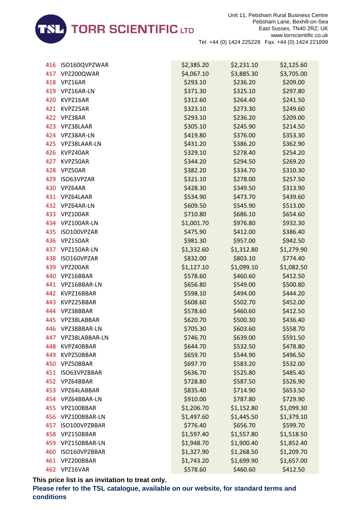

| 416 | ISO160QVPZWAR  | \$2,385.20 | \$2,231.10 | \$2,125.60 |
|-----|----------------|------------|------------|------------|
| 417 | VPZ200QWAR     | \$4,067.10 | \$3,885.30 | \$3,705.00 |
| 418 | VPZ16AR        | \$293.10   | \$236.20   | \$209.00   |
| 419 | VPZ16AR-LN     | \$371.30   | \$325.10   | \$297.80   |
| 420 | KVPZ16AR       | \$312.60   | \$264.40   | \$241.50   |
| 421 | KVPZ25AR       | \$323.10   | \$273.30   | \$249.60   |
| 422 | VPZ38AR        | \$293.10   | \$236.20   | \$209.00   |
| 423 | VPZ38LAAR      | \$305.10   | \$245.90   | \$214.50   |
| 424 | VPZ38AR-LN     | \$419.80   | \$376.00   | \$353.30   |
| 425 | VPZ38LAAR-LN   | \$431.20   | \$386.20   | \$362.90   |
| 426 | KVPZ40AR       | \$329.10   | \$278.40   | \$254.20   |
| 427 | KVPZ50AR       | \$344.20   | \$294.50   | \$269.20   |
| 428 | VPZ50AR        | \$382.20   | \$334.70   | \$310.30   |
| 429 | ISO63VPZAR     | \$321.10   | \$278.00   | \$257.50   |
| 430 | VPZ64AR        | \$428.30   | \$349.50   | \$313.90   |
| 431 | VPZ64LAAR      | \$534.90   | \$473.70   | \$439.60   |
|     | 432 VPZ64AR-LN | \$609.50   | \$545.90   | \$513.00   |
| 433 | VPZ100AR       | \$710.80   | \$686.10   | \$654.60   |
| 434 | VPZ100AR-LN    | \$1,001.70 | \$976.80   | \$932.30   |
| 435 | ISO100VPZAR    | \$475.90   | \$412.00   | \$386.40   |
| 436 | VPZ150AR       | \$981.30   | \$957.00   | \$942.50   |
| 437 | VPZ150AR-LN    | \$1,332.60 | \$1,312.80 | \$1,279.90 |
| 438 | ISO160VPZAR    | \$832.00   | \$803.10   | \$774.40   |
| 439 | VPZ200AR       | \$1,127.10 | \$1,099.10 | \$1,082.50 |
| 440 | VPZ16BBAR      | \$578.60   | \$460.60   | \$412.50   |
| 441 | VPZ16BBAR-LN   | \$656.80   | \$549.00   | \$500.80   |
| 442 | KVPZ16BBAR     | \$598.10   | \$494.00   | \$444.20   |
| 443 | KVPZ25BBAR     | \$608.60   | \$502.70   | \$452.00   |
| 444 | VPZ38BBAR      | \$578.60   | \$460.60   | \$412.50   |
| 445 | VPZ38LABBAR    | \$620.70   | \$500.30   | \$436.40   |
| 446 | VPZ38BBAR-LN   | \$705.30   | \$603.60   | \$558.70   |
| 447 | VPZ38LABBAR-LN | \$746.70   | \$639.00   | \$591.50   |
| 448 | KVPZ40BBAR     | \$644.70   | \$532.50   | \$478.80   |
| 449 | KVPZ50BBAR     | \$659.70   | \$544.90   | \$496.50   |
| 450 | VPZ50BBAR      | \$697.70   | \$583.20   | \$532.00   |
| 451 | ISO63VPZBBAR   | \$636.70   | \$525.80   | \$485.40   |
| 452 | VPZ64BBAR      | \$728.80   | \$587.50   | \$526.90   |
| 453 | VPZ64LABBAR    | \$835.40   | \$714.90   | \$653.50   |
| 454 | VPZ64BBAR-LN   | \$910.00   | \$787.80   | \$729.90   |
| 455 | VPZ100BBAR     | \$1,206.70 | \$1,152.80 | \$1,099.30 |
| 456 | VPZ100BBAR-LN  | \$1,497.60 | \$1,445.50 | \$1,379.10 |
| 457 | ISO100VPZBBAR  | \$776.40   | \$656.70   | \$599.70   |
| 458 | VPZ150BBAR     | \$1,597.40 | \$1,557.80 | \$1,518.50 |
| 459 | VPZ150BBAR-LN  | \$1,948.70 | \$1,900.40 | \$1,852.40 |
| 460 | ISO160VPZBBAR  | \$1,327.90 | \$1,268.50 | \$1,209.70 |
| 461 | VPZ200BBAR     | \$1,743.20 | \$1,699.90 | \$1,657.00 |
|     | 462 VPZ16VAR   | \$578.60   | \$460.60   | \$412.50   |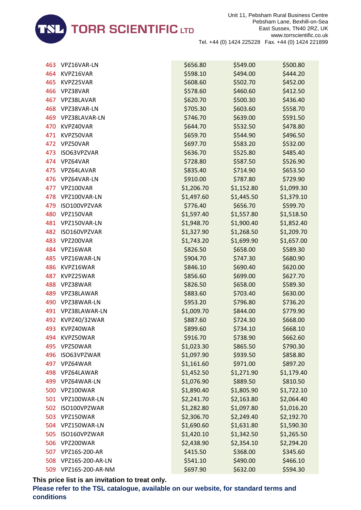

| 463 | VPZ16VAR-LN      | \$656.80   | \$549.00   | \$500.80   |
|-----|------------------|------------|------------|------------|
| 464 | KVPZ16VAR        | \$598.10   | \$494.00   | \$444.20   |
| 465 | KVPZ25VAR        | \$608.60   | \$502.70   | \$452.00   |
| 466 | VPZ38VAR         | \$578.60   | \$460.60   | \$412.50   |
| 467 | VPZ38LAVAR       | \$620.70   | \$500.30   | \$436.40   |
| 468 | VPZ38VAR-LN      | \$705.30   | \$603.60   | \$558.70   |
| 469 | VPZ38LAVAR-LN    | \$746.70   | \$639.00   | \$591.50   |
| 470 | KVPZ40VAR        | \$644.70   | \$532.50   | \$478.80   |
| 471 | KVPZ50VAR        | \$659.70   | \$544.90   | \$496.50   |
| 472 | VPZ50VAR         | \$697.70   | \$583.20   | \$532.00   |
| 473 | ISO63VPZVAR      | \$636.70   | \$525.80   | \$485.40   |
| 474 | VPZ64VAR         | \$728.80   | \$587.50   | \$526.90   |
| 475 | VPZ64LAVAR       | \$835.40   | \$714.90   | \$653.50   |
| 476 | VPZ64VAR-LN      | \$910.00   | \$787.80   | \$729.90   |
| 477 | VPZ100VAR        | \$1,206.70 | \$1,152.80 | \$1,099.30 |
| 478 | VPZ100VAR-LN     | \$1,497.60 | \$1,445.50 | \$1,379.10 |
| 479 | ISO100VPZVAR     | \$776.40   | \$656.70   | \$599.70   |
| 480 | VPZ150VAR        | \$1,597.40 | \$1,557.80 | \$1,518.50 |
| 481 | VPZ150VAR-LN     | \$1,948.70 | \$1,900.40 | \$1,852.40 |
| 482 | ISO160VPZVAR     | \$1,327.90 | \$1,268.50 | \$1,209.70 |
| 483 | VPZ200VAR        | \$1,743.20 | \$1,699.90 | \$1,657.00 |
| 484 | VPZ16WAR         | \$826.50   | \$658.00   | \$589.30   |
| 485 | VPZ16WAR-LN      | \$904.70   | \$747.30   | \$680.90   |
| 486 | KVPZ16WAR        | \$846.10   | \$690.40   | \$620.00   |
| 487 | KVPZ25WAR        | \$856.60   | \$699.00   | \$627.70   |
| 488 | VPZ38WAR         | \$826.50   | \$658.00   | \$589.30   |
| 489 | VPZ38LAWAR       | \$883.60   | \$703.40   | \$630.00   |
| 490 | VPZ38WAR-LN      | \$953.20   | \$796.80   | \$736.20   |
| 491 | VPZ38LAWAR-LN    | \$1,009.70 | \$844.00   | \$779.90   |
| 492 | KVPZ40/32WAR     | \$887.60   | \$724.30   | \$668.00   |
| 493 | KVPZ40WAR        | \$899.60   | \$734.10   | \$668.10   |
| 494 | KVPZ50WAR        | \$916.70   | \$738.90   | \$662.60   |
| 495 | VPZ50WAR         | \$1,023.30 | \$865.50   | \$790.30   |
| 496 | ISO63VPZWAR      | \$1,097.90 | \$939.50   | \$858.80   |
| 497 | VPZ64WAR         | \$1,161.60 | \$971.00   | \$897.20   |
| 498 | VPZ64LAWAR       | \$1,452.50 | \$1,271.90 | \$1,179.40 |
| 499 | VPZ64WAR-LN      | \$1,076.90 | \$889.50   | \$810.50   |
| 500 | VPZ100WAR        | \$1,890.40 | \$1,805.90 | \$1,722.10 |
| 501 | VPZ100WAR-LN     | \$2,241.70 | \$2,163.80 | \$2,064.40 |
| 502 | ISO100VPZWAR     | \$1,282.80 | \$1,097.80 | \$1,016.20 |
| 503 | VPZ150WAR        | \$2,306.70 | \$2,249.40 | \$2,192.70 |
| 504 | VPZ150WAR-LN     | \$1,690.60 | \$1,631.80 | \$1,590.30 |
| 505 | ISO160VPZWAR     | \$1,420.10 | \$1,342.50 | \$1,265.50 |
| 506 | VPZ200WAR        | \$2,438.90 | \$2,354.10 | \$2,294.20 |
| 507 | VPZ16S-200-AR    | \$415.50   | \$368.00   | \$345.60   |
| 508 | VPZ16S-200-AR-LN | \$541.10   | \$490.00   | \$466.10   |
| 509 | VPZ16S-200-AR-NM | \$697.90   | \$632.00   | \$594.30   |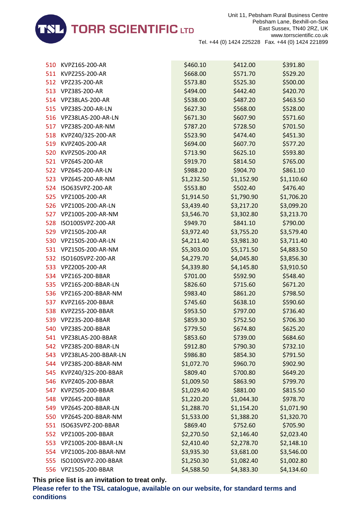

| 510 | KVPZ16S-200-AR        | \$460.10   | \$412.00   | \$391.80   |
|-----|-----------------------|------------|------------|------------|
| 511 | KVPZ25S-200-AR        | \$668.00   | \$571.70   | \$529.20   |
| 512 | VPZ23S-200-AR         | \$573.80   | \$525.30   | \$500.00   |
| 513 | VPZ38S-200-AR         | \$494.00   | \$442.40   | \$420.70   |
| 514 | VPZ38LAS-200-AR       | \$538.00   | \$487.20   | \$463.50   |
| 515 | VPZ38S-200-AR-LN      | \$627.30   | \$568.00   | \$528.00   |
| 516 | VPZ38LAS-200-AR-LN    | \$671.30   | \$607.90   | \$571.60   |
| 517 | VPZ38S-200-AR-NM      | \$787.20   | \$728.50   | \$701.50   |
| 518 | KVPZ40/32S-200-AR     | \$523.90   | \$474.40   | \$451.30   |
| 519 | KVPZ40S-200-AR        | \$694.00   | \$607.70   | \$577.20   |
| 520 | KVPZ50S-200-AR        | \$713.90   | \$625.10   | \$593.80   |
| 521 | VPZ64S-200-AR         | \$919.70   | \$814.50   | \$765.00   |
|     | 522 VPZ64S-200-AR-LN  | \$988.20   | \$904.70   | \$861.10   |
| 523 | VPZ64S-200-AR-NM      | \$1,232.50 | \$1,152.90 | \$1,110.60 |
| 524 | ISO63SVPZ-200-AR      | \$553.80   | \$502.40   | \$476.40   |
| 525 | VPZ100S-200-AR        | \$1,914.50 | \$1,790.90 | \$1,706.20 |
|     | 526 VPZ100S-200-AR-LN | \$3,439.40 | \$3,217.20 | \$3,099.20 |
| 527 | VPZ100S-200-AR-NM     | \$3,546.70 | \$3,302.80 | \$3,213.70 |
| 528 | ISO100SVPZ-200-AR     | \$949.70   | \$841.10   | \$790.00   |
| 529 | VPZ150S-200-AR        | \$3,972.40 | \$3,755.20 | \$3,579.40 |
| 530 | VPZ150S-200-AR-LN     | \$4,211.40 | \$3,981.30 | \$3,711.40 |
| 531 | VPZ150S-200-AR-NM     | \$5,303.00 | \$5,171.50 | \$4,883.50 |
| 532 | ISO160SVPZ-200-AR     | \$4,279.70 | \$4,045.80 | \$3,856.30 |
| 533 | VPZ200S-200-AR        | \$4,339.80 | \$4,145.80 | \$3,910.50 |
| 534 | VPZ16S-200-BBAR       | \$701.00   | \$592.90   | \$548.40   |
| 535 | VPZ16S-200-BBAR-LN    | \$826.60   | \$715.60   | \$671.20   |
| 536 | VPZ16S-200-BBAR-NM    | \$983.40   | \$861.20   | \$798.50   |
| 537 | KVPZ16S-200-BBAR      | \$745.60   | \$638.10   | \$590.60   |
| 538 | KVPZ25S-200-BBAR      | \$953.50   | \$797.00   | \$736.40   |
| 539 | VPZ23S-200-BBAR       | \$859.30   | \$752.50   | \$706.30   |
| 540 | VPZ38S-200-BBAR       | \$779.50   | \$674.80   | \$625.20   |
| 541 | VPZ38LAS-200-BBAR     | \$853.60   | \$739.00   | \$684.60   |
| 542 | VPZ38S-200-BBAR-LN    | \$912.80   | \$790.30   | \$732.10   |
| 543 | VPZ38LAS-200-BBAR-LN  | \$986.80   | \$854.30   | \$791.50   |
| 544 | VPZ38S-200-BBAR-NM    | \$1,072.70 | \$960.70   | \$902.90   |
| 545 | KVPZ40/32S-200-BBAR   | \$809.40   | \$700.80   | \$649.20   |
| 546 | KVPZ40S-200-BBAR      | \$1,009.50 | \$863.90   | \$799.70   |
| 547 | KVPZ50S-200-BBAR      | \$1,029.40 | \$881.00   | \$815.50   |
| 548 | VPZ64S-200-BBAR       | \$1,220.20 | \$1,044.30 | \$978.70   |
| 549 | VPZ64S-200-BBAR-LN    | \$1,288.70 | \$1,154.20 | \$1,071.90 |
| 550 | VPZ64S-200-BBAR-NM    | \$1,533.00 | \$1,388.20 | \$1,320.70 |
| 551 | ISO63SVPZ-200-BBAR    | \$869.40   | \$752.60   | \$705.90   |
| 552 | VPZ100S-200-BBAR      | \$2,270.50 | \$2,146.40 | \$2,023.40 |
| 553 | VPZ100S-200-BBAR-LN   | \$2,410.40 | \$2,278.70 | \$2,148.10 |
| 554 | VPZ100S-200-BBAR-NM   | \$3,935.30 | \$3,681.00 | \$3,546.00 |
| 555 | ISO100SVPZ-200-BBAR   | \$1,250.30 | \$1,082.40 | \$1,002.80 |
| 556 | VPZ150S-200-BBAR      | \$4,588.50 | \$4,383.30 | \$4,134.60 |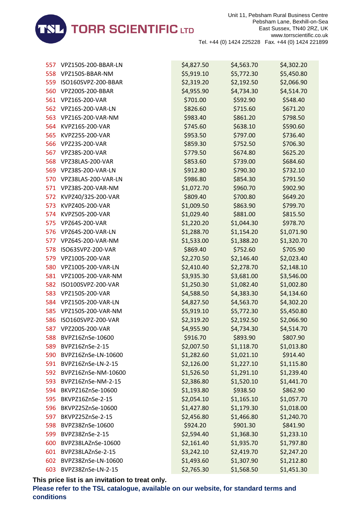

| 557 | VPZ150S-200-BBAR-LN | \$4,827.50 | \$4,563.70 | \$4,302.20 |
|-----|---------------------|------------|------------|------------|
| 558 | VPZ150S-BBAR-NM     | \$5,919.10 | \$5,772.30 | \$5,450.80 |
| 559 | ISO160SVPZ-200-BBAR | \$2,319.20 | \$2,192.50 | \$2,066.90 |
| 560 | VPZ200S-200-BBAR    | \$4,955.90 | \$4,734.30 | \$4,514.70 |
| 561 | VPZ16S-200-VAR      | \$701.00   | \$592.90   | \$548.40   |
| 562 | VPZ16S-200-VAR-LN   | \$826.60   | \$715.60   | \$671.20   |
| 563 | VPZ16S-200-VAR-NM   | \$983.40   | \$861.20   | \$798.50   |
| 564 | KVPZ16S-200-VAR     | \$745.60   | \$638.10   | \$590.60   |
| 565 | KVPZ25S-200-VAR     | \$953.50   | \$797.00   | \$736.40   |
| 566 | VPZ23S-200-VAR      | \$859.30   | \$752.50   | \$706.30   |
| 567 | VPZ38S-200-VAR      | \$779.50   | \$674.80   | \$625.20   |
| 568 | VPZ38LAS-200-VAR    | \$853.60   | \$739.00   | \$684.60   |
| 569 | VPZ38S-200-VAR-LN   | \$912.80   | \$790.30   | \$732.10   |
| 570 | VPZ38LAS-200-VAR-LN | \$986.80   | \$854.30   | \$791.50   |
| 571 | VPZ38S-200-VAR-NM   | \$1,072.70 | \$960.70   | \$902.90   |
| 572 | KVPZ40/32S-200-VAR  | \$809.40   | \$700.80   | \$649.20   |
| 573 | KVPZ40S-200-VAR     | \$1,009.50 | \$863.90   | \$799.70   |
| 574 | KVPZ50S-200-VAR     | \$1,029.40 | \$881.00   | \$815.50   |
| 575 | VPZ64S-200-VAR      | \$1,220.20 | \$1,044.30 | \$978.70   |
| 576 | VPZ64S-200-VAR-LN   | \$1,288.70 | \$1,154.20 | \$1,071.90 |
| 577 | VPZ64S-200-VAR-NM   | \$1,533.00 | \$1,388.20 | \$1,320.70 |
| 578 | ISO63SVPZ-200-VAR   | \$869.40   | \$752.60   | \$705.90   |
| 579 | VPZ100S-200-VAR     | \$2,270.50 | \$2,146.40 | \$2,023.40 |
| 580 | VPZ100S-200-VAR-LN  | \$2,410.40 | \$2,278.70 | \$2,148.10 |
| 581 | VPZ100S-200-VAR-NM  | \$3,935.30 | \$3,681.00 | \$3,546.00 |
| 582 | ISO100SVPZ-200-VAR  | \$1,250.30 | \$1,082.40 | \$1,002.80 |
| 583 | VPZ150S-200-VAR     | \$4,588.50 | \$4,383.30 | \$4,134.60 |
| 584 | VPZ150S-200-VAR-LN  | \$4,827.50 | \$4,563.70 | \$4,302.20 |
| 585 | VPZ150S-200-VAR-NM  | \$5,919.10 | \$5,772.30 | \$5,450.80 |
| 586 | ISO160SVPZ-200-VAR  | \$2,319.20 | \$2,192.50 | \$2,066.90 |
|     | 587 VPZ200S-200-VAR | \$4,955.90 | \$4,734.30 | \$4,514.70 |
| 588 | BVPZ16ZnSe-10600    | \$916.70   | \$893.90   | \$807.90   |
| 589 | BVPZ16ZnSe-2-15     | \$2,007.50 | \$1,118.70 | \$1,013.80 |
| 590 | BVPZ16ZnSe-LN-10600 | \$1,282.60 | \$1,021.10 | \$914.40   |
| 591 | BVPZ16ZnSe-LN-2-15  | \$2,126.00 | \$1,227.10 | \$1,115.80 |
| 592 | BVPZ16ZnSe-NM-10600 | \$1,526.50 | \$1,291.10 | \$1,239.40 |
| 593 | BVPZ16ZnSe-NM-2-15  | \$2,386.80 | \$1,520.10 | \$1,441.70 |
| 594 | BKVPZ16ZnSe-10600   | \$1,193.80 | \$938.50   | \$862.90   |
| 595 | BKVPZ16ZnSe-2-15    | \$2,054.10 | \$1,165.10 | \$1,057.70 |
| 596 | BKVPZ25ZnSe-10600   | \$1,427.80 | \$1,179.30 | \$1,018.00 |
| 597 | BKVPZ25ZnSe-2-15    | \$2,456.80 | \$1,466.80 | \$1,240.70 |
| 598 | BVPZ38ZnSe-10600    | \$924.20   | \$901.30   | \$841.90   |
| 599 | BVPZ38ZnSe-2-15     | \$2,594.40 | \$1,368.30 | \$1,233.10 |
| 600 | BVPZ38LAZnSe-10600  | \$2,161.40 | \$1,935.70 | \$1,797.80 |
| 601 | BVPZ38LAZnSe-2-15   | \$3,242.10 | \$2,419.70 | \$2,247.20 |
| 602 | BVPZ38ZnSe-LN-10600 | \$1,493.60 | \$1,307.90 | \$1,212.80 |
| 603 | BVPZ38ZnSe-LN-2-15  | \$2,765.30 | \$1,568.50 | \$1,451.30 |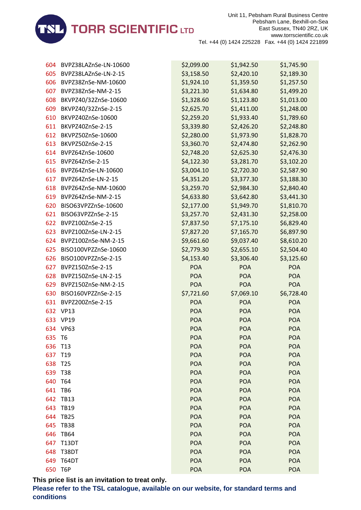

| 604 | BVPZ38LAZnSe-LN-10600 | \$2,099.00 | \$1,942.50 | \$1,745.90 |
|-----|-----------------------|------------|------------|------------|
| 605 | BVPZ38LAZnSe-LN-2-15  | \$3,158.50 | \$2,420.10 | \$2,189.30 |
| 606 | BVPZ38ZnSe-NM-10600   | \$1,924.10 | \$1,359.50 | \$1,257.50 |
| 607 | BVPZ38ZnSe-NM-2-15    | \$3,221.30 | \$1,634.80 | \$1,499.20 |
| 608 | BKVPZ40/32ZnSe-10600  | \$1,328.60 | \$1,123.80 | \$1,013.00 |
| 609 | BKVPZ40/32ZnSe-2-15   | \$2,625.70 | \$1,411.00 | \$1,248.00 |
| 610 | BKVPZ40ZnSe-10600     | \$2,259.20 | \$1,933.40 | \$1,789.60 |
| 611 | BKVPZ40ZnSe-2-15      | \$3,339.80 | \$2,426.20 | \$2,248.80 |
| 612 | BKVPZ50ZnSe-10600     | \$2,280.00 | \$1,973.90 | \$1,828.70 |
| 613 | BKVPZ50ZnSe-2-15      | \$3,360.70 | \$2,474.80 | \$2,262.90 |
| 614 | BVPZ64ZnSe-10600      | \$2,748.20 | \$2,625.30 | \$2,476.30 |
| 615 | BVPZ64ZnSe-2-15       | \$4,122.30 | \$3,281.70 | \$3,102.20 |
| 616 | BVPZ64ZnSe-LN-10600   | \$3,004.10 | \$2,720.30 | \$2,587.90 |
| 617 | BVPZ64ZnSe-LN-2-15    | \$4,351.20 | \$3,377.30 | \$3,188.30 |
| 618 | BVPZ64ZnSe-NM-10600   | \$3,259.70 | \$2,984.30 | \$2,840.40 |
| 619 | BVPZ64ZnSe-NM-2-15    | \$4,633.80 | \$3,642.80 | \$3,441.30 |
| 620 | BISO63VPZZnSe-10600   | \$2,177.00 | \$1,949.70 | \$1,810.70 |
| 621 | BISO63VPZZnSe-2-15    | \$3,257.70 | \$2,431.30 | \$2,258.00 |
| 622 | BVPZ100ZnSe-2-15      | \$7,837.50 | \$7,175.10 | \$6,829.40 |
| 623 | BVPZ100ZnSe-LN-2-15   | \$7,827.20 | \$7,165.70 | \$6,897.90 |
| 624 | BVPZ100ZnSe-NM-2-15   | \$9,661.60 | \$9,037.40 | \$8,610.20 |
| 625 | BISO100VPZZnSe-10600  | \$2,779.30 | \$2,655.10 | \$2,504.40 |
| 626 | BISO100VPZZnSe-2-15   | \$4,153.40 | \$3,306.40 | \$3,125.60 |
| 627 | BVPZ150ZnSe-2-15      | <b>POA</b> | <b>POA</b> | POA        |
| 628 | BVPZ150ZnSe-LN-2-15   | <b>POA</b> | <b>POA</b> | <b>POA</b> |
| 629 | BVPZ150ZnSe-NM-2-15   | <b>POA</b> | <b>POA</b> | POA        |
| 630 | BISO160VPZZnSe-2-15   | \$7,721.60 | \$7,069.10 | \$6,728.40 |
| 631 | BVPZ200ZnSe-2-15      | <b>POA</b> | <b>POA</b> | <b>POA</b> |
| 632 | <b>VP13</b>           | <b>POA</b> | <b>POA</b> | POA        |
| 633 | <b>VP19</b>           | <b>POA</b> | <b>POA</b> | POA        |
|     | 634 VP63              | <b>POA</b> | <b>POA</b> | <b>POA</b> |
| 635 | T <sub>6</sub>        | <b>POA</b> | <b>POA</b> | <b>POA</b> |
| 636 | T <sub>13</sub>       | <b>POA</b> | <b>POA</b> | POA        |
| 637 | T <sub>19</sub>       | <b>POA</b> | <b>POA</b> | <b>POA</b> |
| 638 | T <sub>25</sub>       | <b>POA</b> | <b>POA</b> | <b>POA</b> |
| 639 | <b>T38</b>            | <b>POA</b> | <b>POA</b> | <b>POA</b> |
| 640 | T64                   | <b>POA</b> | <b>POA</b> | <b>POA</b> |
| 641 | TB6                   | <b>POA</b> | <b>POA</b> | <b>POA</b> |
| 642 | <b>TB13</b>           | <b>POA</b> | <b>POA</b> | <b>POA</b> |
| 643 | <b>TB19</b>           | <b>POA</b> | <b>POA</b> | <b>POA</b> |
| 644 | <b>TB25</b>           | <b>POA</b> | <b>POA</b> | <b>POA</b> |
| 645 | <b>TB38</b>           | <b>POA</b> | <b>POA</b> | <b>POA</b> |
| 646 | <b>TB64</b>           | <b>POA</b> | <b>POA</b> | <b>POA</b> |
| 647 | <b>T13DT</b>          | <b>POA</b> | <b>POA</b> | <b>POA</b> |
| 648 | T38DT                 | <b>POA</b> | <b>POA</b> | <b>POA</b> |
| 649 | T64DT                 | <b>POA</b> | <b>POA</b> | <b>POA</b> |
| 650 | T6P                   | POA        | <b>POA</b> | POA        |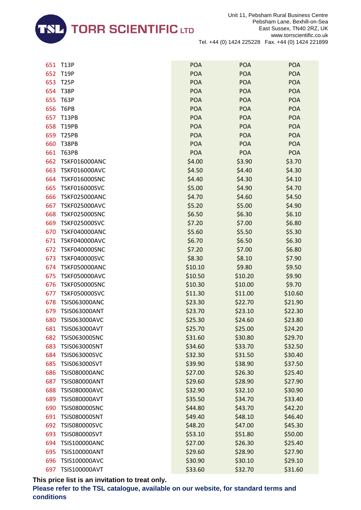

| 651 | <b>T13P</b>          | <b>POA</b> | <b>POA</b> | <b>POA</b> |
|-----|----------------------|------------|------------|------------|
| 652 | <b>T19P</b>          | <b>POA</b> | <b>POA</b> | <b>POA</b> |
| 653 | <b>T25P</b>          | <b>POA</b> | <b>POA</b> | <b>POA</b> |
| 654 | <b>T38P</b>          | <b>POA</b> | <b>POA</b> | <b>POA</b> |
| 655 | <b>T63P</b>          | <b>POA</b> | <b>POA</b> | <b>POA</b> |
| 656 | T6PB                 | <b>POA</b> | <b>POA</b> | <b>POA</b> |
| 657 | <b>T13PB</b>         | <b>POA</b> | <b>POA</b> | <b>POA</b> |
| 658 | <b>T19PB</b>         | <b>POA</b> | <b>POA</b> | <b>POA</b> |
| 659 | <b>T25PB</b>         | <b>POA</b> | <b>POA</b> | <b>POA</b> |
| 660 | <b>T38PB</b>         | <b>POA</b> | <b>POA</b> | <b>POA</b> |
| 661 | <b>T63PB</b>         | <b>POA</b> | <b>POA</b> | <b>POA</b> |
| 662 | <b>TSKF016000ANC</b> | \$4.00     | \$3.90     | \$3.70     |
| 663 | <b>TSKF016000AVC</b> | \$4.50     | \$4.40     | \$4.30     |
| 664 | <b>TSKF016000SNC</b> | \$4.40     | \$4.30     | \$4.10     |
| 665 | <b>TSKF016000SVC</b> | \$5.00     | \$4.90     | \$4.70     |
| 666 | <b>TSKF025000ANC</b> | \$4.70     | \$4.60     | \$4.50     |
| 667 | <b>TSKF025000AVC</b> | \$5.20     | \$5.00     | \$4.90     |
| 668 | <b>TSKF025000SNC</b> | \$6.50     | \$6.30     | \$6.10     |
| 669 | <b>TSKF025000SVC</b> | \$7.20     | \$7.00     | \$6.80     |
| 670 | <b>TSKF040000ANC</b> | \$5.60     | \$5.50     | \$5.30     |
| 671 | <b>TSKF040000AVC</b> | \$6.70     | \$6.50     | \$6.30     |
| 672 | <b>TSKF040000SNC</b> | \$7.20     | \$7.00     | \$6.80     |
| 673 | <b>TSKF040000SVC</b> | \$8.30     | \$8.10     | \$7.90     |
| 674 | <b>TSKF050000ANC</b> | \$10.10    | \$9.80     | \$9.50     |
| 675 | <b>TSKF050000AVC</b> | \$10.50    | \$10.20    | \$9.90     |
| 676 | <b>TSKF050000SNC</b> | \$10.30    | \$10.00    | \$9.70     |
| 677 | <b>TSKF050000SVC</b> | \$11.30    | \$11.00    | \$10.60    |
| 678 | <b>TSIS063000ANC</b> | \$23.30    | \$22.70    | \$21.90    |
| 679 | TSIS063000ANT        | \$23.70    | \$23.10    | \$22.30    |
| 680 | TSIS063000AVC        | \$25.30    | \$24.60    | \$23.80    |
| 681 | <b>TSIS063000AVT</b> | \$25.70    | \$25.00    | \$24.20    |
| 682 | <b>TSIS063000SNC</b> | \$31.60    | \$30.80    | \$29.70    |
| 683 | TSIS063000SNT        | \$34.60    | \$33.70    | \$32.50    |
| 684 | TSIS063000SVC        | \$32.30    | \$31.50    | \$30.40    |
| 685 | TSIS063000SVT        | \$39.90    | \$38.90    | \$37.50    |
| 686 | <b>TSIS080000ANC</b> | \$27.00    | \$26.30    | \$25.40    |
| 687 | <b>TSIS080000ANT</b> | \$29.60    | \$28.90    | \$27.90    |
| 688 | <b>TSIS080000AVC</b> | \$32.90    | \$32.10    | \$30.90    |
| 689 | <b>TSIS080000AVT</b> | \$35.50    | \$34.70    | \$33.40    |
| 690 | <b>TSIS080000SNC</b> | \$44.80    | \$43.70    | \$42.20    |
| 691 | <b>TSIS080000SNT</b> | \$49.40    | \$48.10    | \$46.40    |
| 692 | <b>TSIS080000SVC</b> | \$48.20    | \$47.00    | \$45.30    |
| 693 | <b>TSIS080000SVT</b> | \$53.10    | \$51.80    | \$50.00    |
| 694 | <b>TSIS100000ANC</b> | \$27.00    | \$26.30    | \$25.40    |
| 695 | TSIS100000ANT        | \$29.60    | \$28.90    | \$27.90    |
| 696 | TSIS100000AVC        | \$30.90    | \$30.10    | \$29.10    |
| 697 | TSIS100000AVT        | \$33.60    | \$32.70    | \$31.60    |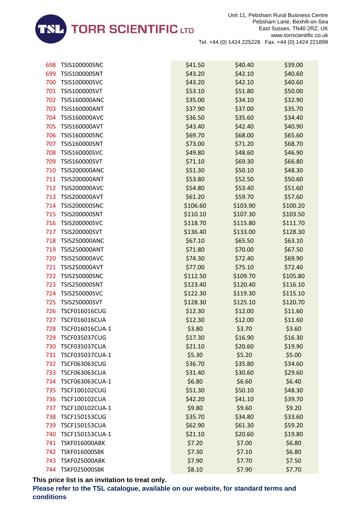

| 698 | <b>TSIS100000SNC</b> | \$41.50  | \$40.40  | \$39.00  |
|-----|----------------------|----------|----------|----------|
| 699 | TSIS100000SNT        | \$43.20  | \$42.10  | \$40.60  |
| 700 | TSIS100000SVC        | \$43.20  | \$42.10  | \$40.60  |
| 701 | TSIS100000SVT        | \$53.10  | \$51.80  | \$50.00  |
| 702 | <b>TSIS160000ANC</b> | \$35.00  | \$34.10  | \$32.90  |
| 703 | TSIS160000ANT        | \$37.90  | \$37.00  | \$35.70  |
| 704 | TSIS160000AVC        | \$36.50  | \$35.60  | \$34.40  |
| 705 | TSIS160000AVT        | \$43.40  | \$42.40  | \$40.90  |
| 706 | TSIS160000SNC        | \$69.70  | \$68.00  | \$65.60  |
| 707 | TSIS160000SNT        | \$73.00  | \$71.20  | \$68.70  |
| 708 | TSIS160000SVC        | \$49.80  | \$48.60  | \$46.90  |
| 709 | TSIS160000SVT        | \$71.10  | \$69.30  | \$66.80  |
| 710 | <b>TSIS200000ANC</b> | \$51.30  | \$50.10  | \$48.30  |
| 711 | <b>TSIS200000ANT</b> | \$53.80  | \$52.50  | \$50.60  |
| 712 | <b>TSIS200000AVC</b> | \$54.80  | \$53.40  | \$51.60  |
| 713 | TSIS200000AVT        | \$61.20  | \$59.70  | \$57.60  |
| 714 | <b>TSIS200000SNC</b> | \$106.60 | \$103.90 | \$100.20 |
| 715 | <b>TSIS200000SNT</b> | \$110.10 | \$107.30 | \$103.50 |
| 716 | TSIS200000SVC        | \$118.70 | \$115.80 | \$111.70 |
| 717 | TSIS200000SVT        | \$136.40 | \$133.00 | \$128.30 |
| 718 | <b>TSIS250000ANC</b> | \$67.10  | \$65.50  | \$63.10  |
| 719 | <b>TSIS250000ANT</b> | \$71.80  | \$70.00  | \$67.50  |
| 720 | <b>TSIS250000AVC</b> | \$74.30  | \$72.40  | \$69.90  |
| 721 | TSIS250000AVT        | \$77.00  | \$75.10  | \$72.40  |
| 722 | <b>TSIS250000SNC</b> | \$112.50 | \$109.70 | \$105.80 |
| 723 | TSIS250000SNT        | \$123.40 | \$120.40 | \$116.10 |
| 724 | TSIS250000SVC        | \$122.30 | \$119.30 | \$115.10 |
| 725 | TSIS250000SVT        | \$128.30 | \$125.10 | \$120.70 |
| 726 | <b>TSCF016016CUG</b> | \$12.30  | \$12.00  | \$11.60  |
| 727 | <b>TSCF016016CUA</b> | \$12.30  | \$12.00  | \$11.60  |
| 728 | TSCF016016CUA-1      | \$3.80   | \$3.70   | \$3.60   |
| 729 | <b>TSCF035037CUG</b> | \$17.30  | \$16.90  | \$16.30  |
| 730 | <b>TSCF035037CUA</b> | \$21.10  | \$20.60  | \$19.90  |
| 731 | TSCF035037CUA-1      | \$5.30   | \$5.20   | \$5.00   |
| 732 | <b>TSCF063063CUG</b> | \$36.70  | \$35.80  | \$34.60  |
| 733 | <b>TSCF063063CUA</b> | \$31.40  | \$30.60  | \$29.60  |
| 734 | TSCF063063CUA-1      | \$6.80   | \$6.60   | \$6.40   |
| 735 | TSCF100102CUG        | \$51.30  | \$50.10  | \$48.30  |
| 736 | TSCF100102CUA        | \$42.20  | \$41.10  | \$39.70  |
| 737 | TSCF100102CUA-1      | \$9.80   | \$9.60   | \$9.20   |
| 738 | <b>TSCF150153CUG</b> | \$35.70  | \$34.80  | \$33.60  |
| 739 | <b>TSCF150153CUA</b> | \$62.90  | \$61.30  | \$59.20  |
| 740 | TSCF150153CUA-1      | \$21.10  | \$20.60  | \$19.80  |
| 741 | <b>TSKF016000ABK</b> | \$7.20   | \$7.00   | \$6.80   |
| 742 | <b>TSKF016000SBK</b> | \$7.30   | \$7.10   | \$6.80   |
| 743 | <b>TSKF025000ABK</b> | \$7.90   | \$7.70   | \$7.50   |
| 744 | <b>TSKF025000SBK</b> | \$8.10   | \$7.90   | \$7.70   |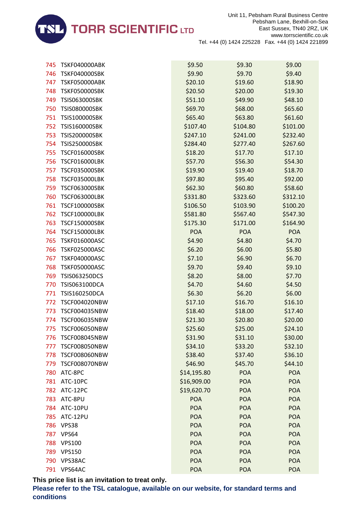

| 745 | <b>TSKF040000ABK</b> | \$9.50      | \$9.30     | \$9.00     |
|-----|----------------------|-------------|------------|------------|
| 746 | <b>TSKF040000SBK</b> | \$9.90      | \$9.70     | \$9.40     |
| 747 | <b>TSKF050000ABK</b> | \$20.10     | \$19.60    | \$18.90    |
| 748 | <b>TSKF050000SBK</b> | \$20.50     | \$20.00    | \$19.30    |
| 749 | TSIS063000SBK        | \$51.10     | \$49.90    | \$48.10    |
| 750 | <b>TSIS080000SBK</b> | \$69.70     | \$68.00    | \$65.60    |
| 751 | <b>TSIS100000SBK</b> | \$65.40     | \$63.80    | \$61.60    |
| 752 | TSIS160000SBK        | \$107.40    | \$104.80   | \$101.00   |
| 753 | <b>TSIS200000SBK</b> | \$247.10    | \$241.00   | \$232.40   |
| 754 | <b>TSIS250000SBK</b> | \$284.40    | \$277.40   | \$267.60   |
| 755 | <b>TSCF016000SBK</b> | \$18.20     | \$17.70    | \$17.10    |
| 756 | <b>TSCF016000LBK</b> | \$57.70     | \$56.30    | \$54.30    |
| 757 | <b>TSCF035000SBK</b> | \$19.90     | \$19.40    | \$18.70    |
| 758 | <b>TSCF035000LBK</b> | \$97.80     | \$95.40    | \$92.00    |
| 759 | <b>TSCF063000SBK</b> | \$62.30     | \$60.80    | \$58.60    |
| 760 | <b>TSCF063000LBK</b> | \$331.80    | \$323.60   | \$312.10   |
| 761 | <b>TSCF100000SBK</b> | \$106.50    | \$103.90   | \$100.20   |
| 762 | <b>TSCF100000LBK</b> | \$581.80    | \$567.40   | \$547.30   |
| 763 | <b>TSCF150000SBK</b> | \$175.30    | \$171.00   | \$164.90   |
| 764 | <b>TSCF150000LBK</b> | POA         | <b>POA</b> | <b>POA</b> |
| 765 | <b>TSKF016000ASC</b> | \$4.90      | \$4.80     | \$4.70     |
| 766 | <b>TSKF025000ASC</b> | \$6.20      | \$6.00     | \$5.80     |
| 767 | <b>TSKF040000ASC</b> | \$7.10      | \$6.90     | \$6.70     |
| 768 | <b>TSKF050000ASC</b> | \$9.70      | \$9.40     | \$9.10     |
| 769 | <b>TSIS063250DCS</b> | \$8.20      | \$8.00     | \$7.70     |
| 770 | <b>TSIS063100DCA</b> | \$4.70      | \$4.60     | \$4.50     |
| 771 | TSIS160250DCA        | \$6.30      | \$6.20     | \$6.00     |
| 772 | <b>TSCF004020NBW</b> | \$17.10     | \$16.70    | \$16.10    |
| 773 | TSCF004035NBW        | \$18.40     | \$18.00    | \$17.40    |
| 774 | <b>TSCF006035NBW</b> | \$21.30     | \$20.80    | \$20.00    |
| 775 | <b>TSCF006050NBW</b> | \$25.60     | \$25.00    | \$24.10    |
| 776 | <b>TSCF008045NBW</b> | \$31.90     | \$31.10    | \$30.00    |
| 777 | <b>TSCF008050NBW</b> | \$34.10     | \$33.20    | \$32.10    |
| 778 | <b>TSCF008060NBW</b> | \$38.40     | \$37.40    | \$36.10    |
| 779 | <b>TSCF008070NBW</b> | \$46.90     | \$45.70    | \$44.10    |
| 780 | ATC-8PC              | \$14,195.80 | <b>POA</b> | <b>POA</b> |
| 781 | ATC-10PC             | \$16,909.00 | <b>POA</b> | <b>POA</b> |
| 782 | ATC-12PC             | \$19,620.70 | <b>POA</b> | <b>POA</b> |
| 783 | ATC-8PU              | <b>POA</b>  | <b>POA</b> | <b>POA</b> |
| 784 | ATC-10PU             | <b>POA</b>  | <b>POA</b> | <b>POA</b> |
| 785 | ATC-12PU             | <b>POA</b>  | <b>POA</b> | <b>POA</b> |
| 786 | VPS38                | <b>POA</b>  | <b>POA</b> | <b>POA</b> |
| 787 | VPS64                | <b>POA</b>  | <b>POA</b> | <b>POA</b> |
| 788 | <b>VPS100</b>        | <b>POA</b>  | <b>POA</b> | <b>POA</b> |
| 789 | <b>VPS150</b>        | <b>POA</b>  | <b>POA</b> | <b>POA</b> |
| 790 | VPS38AC              | <b>POA</b>  | <b>POA</b> | <b>POA</b> |
| 791 | VPS64AC              | <b>POA</b>  | <b>POA</b> | <b>POA</b> |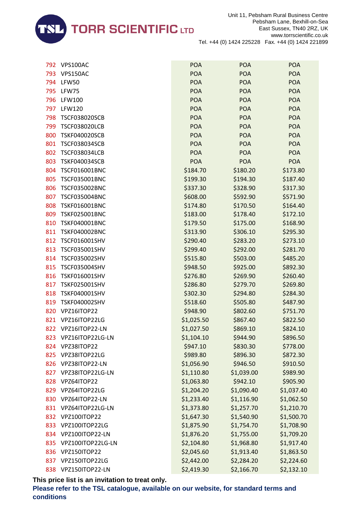

| 792 | VPS100AC             | <b>POA</b> | <b>POA</b> | <b>POA</b> |
|-----|----------------------|------------|------------|------------|
| 793 | VPS150AC             | <b>POA</b> | <b>POA</b> | <b>POA</b> |
| 794 | <b>LFW50</b>         | <b>POA</b> | <b>POA</b> | <b>POA</b> |
| 795 | LFW75                | <b>POA</b> | <b>POA</b> | <b>POA</b> |
| 796 | <b>LFW100</b>        | <b>POA</b> | <b>POA</b> | <b>POA</b> |
| 797 | <b>LFW120</b>        | <b>POA</b> | <b>POA</b> | <b>POA</b> |
| 798 | <b>TSCF038020SCB</b> | <b>POA</b> | <b>POA</b> | <b>POA</b> |
| 799 | <b>TSCF038020LCB</b> | <b>POA</b> | <b>POA</b> | <b>POA</b> |
| 800 | <b>TSKF040020SCB</b> | <b>POA</b> | <b>POA</b> | <b>POA</b> |
| 801 | <b>TSCF038034SCB</b> | <b>POA</b> | <b>POA</b> | <b>POA</b> |
| 802 | <b>TSCF038034LCB</b> | <b>POA</b> | <b>POA</b> | <b>POA</b> |
| 803 | <b>TSKF040034SCB</b> | <b>POA</b> | <b>POA</b> | <b>POA</b> |
| 804 | TSCF016001BNC        | \$184.70   | \$180.20   | \$173.80   |
| 805 | <b>TSCF035001BNC</b> | \$199.30   | \$194.30   | \$187.40   |
| 806 | <b>TSCF035002BNC</b> | \$337.30   | \$328.90   | \$317.30   |
| 807 | <b>TSCF035004BNC</b> | \$608.00   | \$592.90   | \$571.90   |
| 808 | <b>TSKF016001BNC</b> | \$174.80   | \$170.50   | \$164.40   |
| 809 | <b>TSKF025001BNC</b> | \$183.00   | \$178.40   | \$172.10   |
| 810 | <b>TSKF040001BNC</b> | \$179.50   | \$175.00   | \$168.90   |
| 811 | <b>TSKF040002BNC</b> | \$313.90   | \$306.10   | \$295.30   |
| 812 | <b>TSCF016001SHV</b> | \$290.40   | \$283.20   | \$273.10   |
| 813 | <b>TSCF035001SHV</b> | \$299.40   | \$292.00   | \$281.70   |
| 814 | <b>TSCF035002SHV</b> | \$515.80   | \$503.00   | \$485.20   |
| 815 | <b>TSCF035004SHV</b> | \$948.50   | \$925.00   | \$892.30   |
| 816 | TSKF016001SHV        | \$276.80   | \$269.90   | \$260.40   |
| 817 | <b>TSKF025001SHV</b> | \$286.80   | \$279.70   | \$269.80   |
| 818 | TSKF040001SHV        | \$302.30   | \$294.80   | \$284.30   |
| 819 | <b>TSKF040002SHV</b> | \$518.60   | \$505.80   | \$487.90   |
| 820 | VPZ16ITOP22          | \$948.90   | \$802.60   | \$751.70   |
| 821 | VPZ16ITOP22LG        | \$1,025.50 | \$867.40   | \$822.50   |
| 822 | VPZ16ITOP22-LN       | \$1,027.50 | \$869.10   | \$824.10   |
| 823 | VPZ16ITOP22LG-LN     | \$1,104.10 | \$944.90   | \$896.50   |
| 824 | VPZ38ITOP22          | \$947.10   | \$830.30   | \$778.00   |
| 825 | VPZ38ITOP22LG        | \$989.80   | \$896.30   | \$872.30   |
| 826 | VPZ38ITOP22-LN       | \$1,056.90 | \$946.50   | \$910.50   |
| 827 | VPZ38ITOP22LG-LN     | \$1,110.80 | \$1,039.00 | \$989.90   |
| 828 | VPZ64ITOP22          | \$1,063.80 | \$942.10   | \$905.90   |
| 829 | VPZ64ITOP22LG        | \$1,204.20 | \$1,090.40 | \$1,037.40 |
| 830 | VPZ64ITOP22-LN       | \$1,233.40 | \$1,116.90 | \$1,062.50 |
| 831 | VPZ64ITOP22LG-LN     | \$1,373.80 | \$1,257.70 | \$1,210.70 |
| 832 | VPZ100ITOP22         | \$1,647.30 | \$1,540.90 | \$1,500.70 |
| 833 | VPZ100ITOP22LG       | \$1,875.90 | \$1,754.70 | \$1,708.90 |
| 834 | VPZ100ITOP22-LN      | \$1,876.20 | \$1,755.00 | \$1,709.20 |
| 835 | VPZ100ITOP22LG-LN    | \$2,104.80 | \$1,968.80 | \$1,917.40 |
| 836 | VPZ150ITOP22         | \$2,045.60 | \$1,913.40 | \$1,863.50 |
| 837 | VPZ150ITOP22LG       | \$2,442.00 | \$2,284.20 | \$2,224.60 |
| 838 | VPZ150ITOP22-LN      | \$2,419.30 | \$2,166.70 | \$2,132.10 |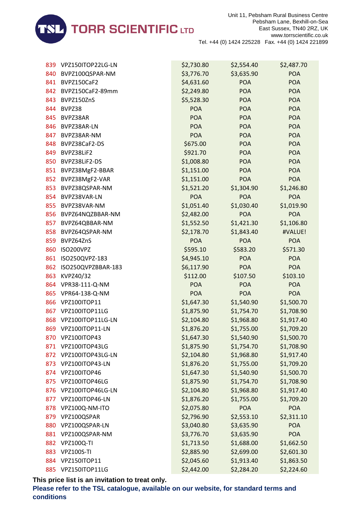

|      | 839 VPZ150ITOP22LG-LN | \$2,730.80 | \$2,554.40 | \$2,487.70 |
|------|-----------------------|------------|------------|------------|
| 840  | BVPZ100QSPAR-NM       | \$3,776.70 | \$3,635.90 | <b>POA</b> |
| 841  | BVPZ150CaF2           | \$4,631.60 | <b>POA</b> | <b>POA</b> |
|      | 842 BVPZ150CaF2-89mm  | \$2,249.80 | <b>POA</b> | <b>POA</b> |
| 843  | BVPZ150ZnS            | \$5,528.30 | <b>POA</b> | <b>POA</b> |
| 844  | BVPZ38                | <b>POA</b> | <b>POA</b> | <b>POA</b> |
| 845  | BVPZ38AR              | <b>POA</b> | <b>POA</b> | <b>POA</b> |
| 846  | BVPZ38AR-LN           | <b>POA</b> | <b>POA</b> | <b>POA</b> |
| 847  | BVPZ38AR-NM           | <b>POA</b> | <b>POA</b> | <b>POA</b> |
| 848  | BVPZ38CaF2-DS         | \$675.00   | <b>POA</b> | <b>POA</b> |
| 849  | BVPZ38LiF2            | \$921.70   | <b>POA</b> | <b>POA</b> |
|      | 850 BVPZ38LiF2-DS     | \$1,008.80 | <b>POA</b> | <b>POA</b> |
|      | 851 BVPZ38MgF2-BBAR   | \$1,151.00 | <b>POA</b> | <b>POA</b> |
|      | 852 BVPZ38MgF2-VAR    | \$1,151.00 | <b>POA</b> | <b>POA</b> |
| 853  | BVPZ38QSPAR-NM        | \$1,521.20 | \$1,304.90 | \$1,246.80 |
|      | 854 BVPZ38VAR-LN      | <b>POA</b> | <b>POA</b> | <b>POA</b> |
|      | 855 BVPZ38VAR-NM      | \$1,051.40 | \$1,030.40 | \$1,019.90 |
|      | 856 BVPZ64NQZBBAR-NM  | \$2,482.00 | <b>POA</b> | <b>POA</b> |
| 857  | BVPZ64QBBAR-NM        | \$1,552.50 | \$1,421.30 | \$1,106.80 |
| 858  | BVPZ64QSPAR-NM        | \$2,178.70 | \$1,843.40 | #VALUE!    |
| 859  | BVPZ64ZnS             | <b>POA</b> | <b>POA</b> | <b>POA</b> |
| 860  | ISO200VPZ             | \$595.10   | \$583.20   | \$571.30   |
| 861  | ISO250QVPZ-183        | \$4,945.10 | <b>POA</b> | <b>POA</b> |
| 862  | ISO250QVPZBBAR-183    | \$6,117.90 | <b>POA</b> | <b>POA</b> |
| 863  | KVPZ40/32             | \$112.00   | \$107.50   | \$103.10   |
|      | 864 VPR38-111-Q-NM    | <b>POA</b> | <b>POA</b> | <b>POA</b> |
| 865  | VPR64-138-Q-NM        | <b>POA</b> | <b>POA</b> | <b>POA</b> |
| 866  | VPZ100ITOP11          | \$1,647.30 | \$1,540.90 | \$1,500.70 |
| 867  | VPZ100ITOP11LG        | \$1,875.90 | \$1,754.70 | \$1,708.90 |
|      | 868 VPZ100ITOP11LG-LN | \$2,104.80 | \$1,968.80 | \$1,917.40 |
|      | 869 VPZ100ITOP11-LN   | \$1,876.20 | \$1,755.00 | \$1,709.20 |
| 870. | VPZ100ITOP43          | \$1,647.30 | \$1,540.90 | \$1,500.70 |
| 871  | VPZ100ITOP43LG        | \$1,875.90 | \$1,754.70 | \$1,708.90 |
| 872  | VPZ100ITOP43LG-LN     | \$2,104.80 | \$1,968.80 | \$1,917.40 |
| 873  | VPZ100ITOP43-LN       | \$1,876.20 | \$1,755.00 | \$1,709.20 |
| 874  | VPZ100ITOP46          | \$1,647.30 | \$1,540.90 | \$1,500.70 |
| 875  | VPZ100ITOP46LG        | \$1,875.90 | \$1,754.70 | \$1,708.90 |
| 876  | VPZ100ITOP46LG-LN     | \$2,104.80 | \$1,968.80 | \$1,917.40 |
| 877  | VPZ100ITOP46-LN       | \$1,876.20 | \$1,755.00 | \$1,709.20 |
| 878  | VPZ100Q-NM-ITO        | \$2,075.80 | <b>POA</b> | <b>POA</b> |
| 879  | VPZ100QSPAR           | \$2,796.90 | \$2,553.10 | \$2,311.10 |
| 880  | VPZ100QSPAR-LN        | \$3,040.80 | \$3,635.90 | <b>POA</b> |
| 881  | VPZ100QSPAR-NM        | \$3,776.70 | \$3,635.90 | <b>POA</b> |
| 882  | <b>VPZ100Q-TI</b>     | \$1,713.50 | \$1,688.00 | \$1,662.50 |
| 883  | <b>VPZ100S-TI</b>     | \$2,885.90 | \$2,699.00 | \$2,601.30 |
| 884  | VPZ150ITOP11          | \$2,045.60 | \$1,913.40 | \$1,863.50 |
| 885  | VPZ150ITOP11LG        | \$2,442.00 | \$2,284.20 | \$2,224.60 |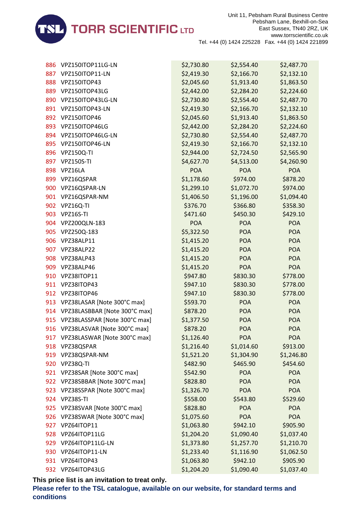

| 886 | VPZ150ITOP11LG-LN                | \$2,730.80 | \$2,554.40 | \$2,487.70 |
|-----|----------------------------------|------------|------------|------------|
| 887 | VPZ150ITOP11-LN                  | \$2,419.30 | \$2,166.70 | \$2,132.10 |
| 888 | VPZ150ITOP43                     | \$2,045.60 | \$1,913.40 | \$1,863.50 |
| 889 | VPZ150ITOP43LG                   | \$2,442.00 | \$2,284.20 | \$2,224.60 |
| 890 | VPZ150ITOP43LG-LN                | \$2,730.80 | \$2,554.40 | \$2,487.70 |
| 891 | VPZ150ITOP43-LN                  | \$2,419.30 | \$2,166.70 | \$2,132.10 |
| 892 | VPZ150ITOP46                     | \$2,045.60 | \$1,913.40 | \$1,863.50 |
| 893 | VPZ150ITOP46LG                   | \$2,442.00 | \$2,284.20 | \$2,224.60 |
| 894 | VPZ150ITOP46LG-LN                | \$2,730.80 | \$2,554.40 | \$2,487.70 |
| 895 | VPZ150ITOP46-LN                  | \$2,419.30 | \$2,166.70 | \$2,132.10 |
| 896 | <b>VPZ150Q-TI</b>                | \$2,944.00 | \$2,724.50 | \$2,565.90 |
| 897 | <b>VPZ150S-TI</b>                | \$4,627.70 | \$4,513.00 | \$4,260.90 |
| 898 | VPZ16LA                          | <b>POA</b> | <b>POA</b> | <b>POA</b> |
| 899 | VPZ16QSPAR                       | \$1,178.60 | \$974.00   | \$878.20   |
| 900 | VPZ16QSPAR-LN                    | \$1,299.10 | \$1,072.70 | \$974.00   |
| 901 | VPZ16QSPAR-NM                    | \$1,406.50 | \$1,196.00 | \$1,094.40 |
| 902 | VPZ16Q-TI                        | \$376.70   | \$366.80   | \$358.30   |
|     | 903 VPZ16S-TI                    | \$471.60   | \$450.30   | \$429.10   |
| 904 | VPZ200QLN-183                    | <b>POA</b> | <b>POA</b> | <b>POA</b> |
| 905 | VPZ250Q-183                      | \$5,322.50 | <b>POA</b> | <b>POA</b> |
| 906 | VPZ38ALP11                       | \$1,415.20 | <b>POA</b> | <b>POA</b> |
| 907 | VPZ38ALP22                       | \$1,415.20 | <b>POA</b> | <b>POA</b> |
| 908 | VPZ38ALP43                       | \$1,415.20 | POA        | POA        |
| 909 | VPZ38ALP46                       | \$1,415.20 | POA        | <b>POA</b> |
| 910 | VPZ38ITOP11                      | \$947.80   | \$830.30   | \$778.00   |
| 911 | VPZ38ITOP43                      | \$947.10   | \$830.30   | \$778.00   |
| 912 | VPZ38ITOP46                      | \$947.10   | \$830.30   | \$778.00   |
|     | 913 VPZ38LASAR [Note 300°C max]  | \$593.70   | POA        | <b>POA</b> |
| 914 | VPZ38LASBBAR [Note 300°C max]    | \$878.20   | <b>POA</b> | POA        |
| 915 | VPZ38LASSPAR [Note 300°C max]    | \$1,377.50 | POA        | <b>POA</b> |
|     | 916 VPZ38LASVAR [Note 300°C max] | \$878.20   | <b>POA</b> | <b>POA</b> |
|     | 917 VPZ38LASWAR [Note 300°C max] | \$1,126.40 | <b>POA</b> | <b>POA</b> |
| 918 | VPZ38QSPAR                       | \$1,216.40 | \$1,014.60 | \$913.00   |
| 919 | VPZ38QSPAR-NM                    | \$1,521.20 | \$1,304.90 | \$1,246.80 |
| 920 | VPZ38Q-TI                        | \$482.90   | \$465.90   | \$454.60   |
| 921 | VPZ38SAR [Note 300°C max]        | \$542.90   | <b>POA</b> | <b>POA</b> |
| 922 | VPZ38SBBAR [Note 300°C max]      | \$828.80   | <b>POA</b> | <b>POA</b> |
| 923 | VPZ38SSPAR [Note 300°C max]      | \$1,326.70 | <b>POA</b> | <b>POA</b> |
| 924 | VPZ38S-TI                        | \$558.00   | \$543.80   | \$529.60   |
| 925 | VPZ38SVAR [Note 300°C max]       | \$828.80   | <b>POA</b> | <b>POA</b> |
| 926 | VPZ38SWAR [Note 300°C max]       | \$1,075.60 | <b>POA</b> | <b>POA</b> |
| 927 | VPZ64ITOP11                      | \$1,063.80 | \$942.10   | \$905.90   |
| 928 | VPZ64ITOP11LG                    | \$1,204.20 | \$1,090.40 | \$1,037.40 |
| 929 | VPZ64ITOP11LG-LN                 | \$1,373.80 | \$1,257.70 | \$1,210.70 |
| 930 | VPZ64ITOP11-LN                   | \$1,233.40 | \$1,116.90 | \$1,062.50 |
| 931 | VPZ64ITOP43                      | \$1,063.80 | \$942.10   | \$905.90   |
|     | 932 VPZ64ITOP43LG                | \$1,204.20 | \$1,090.40 | \$1,037.40 |